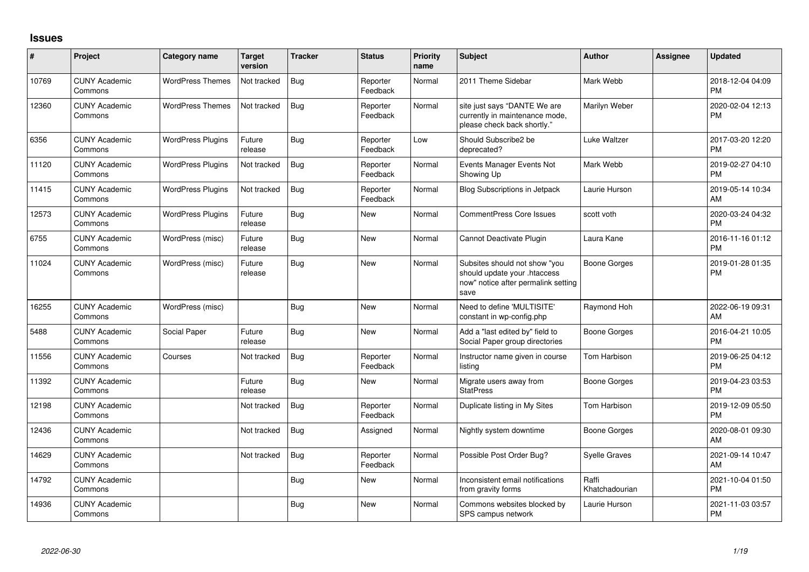## **Issues**

| #     | Project                         | <b>Category name</b>     | <b>Target</b><br>version | <b>Tracker</b> | <b>Status</b>        | Priority<br>name | <b>Subject</b>                                                                                               | <b>Author</b>           | <b>Assignee</b> | <b>Updated</b>                |
|-------|---------------------------------|--------------------------|--------------------------|----------------|----------------------|------------------|--------------------------------------------------------------------------------------------------------------|-------------------------|-----------------|-------------------------------|
| 10769 | <b>CUNY Academic</b><br>Commons | <b>WordPress Themes</b>  | Not tracked              | <b>Bug</b>     | Reporter<br>Feedback | Normal           | 2011 Theme Sidebar                                                                                           | Mark Webb               |                 | 2018-12-04 04:09<br><b>PM</b> |
| 12360 | <b>CUNY Academic</b><br>Commons | <b>WordPress Themes</b>  | Not tracked              | Bug            | Reporter<br>Feedback | Normal           | site just says "DANTE We are<br>currently in maintenance mode,<br>please check back shortly."                | Marilyn Weber           |                 | 2020-02-04 12:13<br><b>PM</b> |
| 6356  | <b>CUNY Academic</b><br>Commons | <b>WordPress Plugins</b> | Future<br>release        | Bug            | Reporter<br>Feedback | Low              | Should Subscribe2 be<br>deprecated?                                                                          | Luke Waltzer            |                 | 2017-03-20 12:20<br><b>PM</b> |
| 11120 | <b>CUNY Academic</b><br>Commons | <b>WordPress Plugins</b> | Not tracked              | Bug            | Reporter<br>Feedback | Normal           | Events Manager Events Not<br>Showing Up                                                                      | Mark Webb               |                 | 2019-02-27 04:10<br><b>PM</b> |
| 11415 | <b>CUNY Academic</b><br>Commons | <b>WordPress Plugins</b> | Not tracked              | Bug            | Reporter<br>Feedback | Normal           | Blog Subscriptions in Jetpack                                                                                | Laurie Hurson           |                 | 2019-05-14 10:34<br>AM        |
| 12573 | <b>CUNY Academic</b><br>Commons | <b>WordPress Plugins</b> | Future<br>release        | Bug            | New                  | Normal           | <b>CommentPress Core Issues</b>                                                                              | scott voth              |                 | 2020-03-24 04:32<br><b>PM</b> |
| 6755  | <b>CUNY Academic</b><br>Commons | WordPress (misc)         | Future<br>release        | Bug            | New                  | Normal           | Cannot Deactivate Plugin                                                                                     | Laura Kane              |                 | 2016-11-16 01:12<br><b>PM</b> |
| 11024 | <b>CUNY Academic</b><br>Commons | WordPress (misc)         | Future<br>release        | Bug            | New                  | Normal           | Subsites should not show "you<br>should update your .htaccess<br>now" notice after permalink setting<br>save | Boone Gorges            |                 | 2019-01-28 01:35<br><b>PM</b> |
| 16255 | <b>CUNY Academic</b><br>Commons | WordPress (misc)         |                          | Bug            | New                  | Normal           | Need to define 'MULTISITE'<br>constant in wp-config.php                                                      | Raymond Hoh             |                 | 2022-06-19 09:31<br>AM        |
| 5488  | <b>CUNY Academic</b><br>Commons | Social Paper             | Future<br>release        | Bug            | <b>New</b>           | Normal           | Add a "last edited by" field to<br>Social Paper group directories                                            | Boone Gorges            |                 | 2016-04-21 10:05<br><b>PM</b> |
| 11556 | <b>CUNY Academic</b><br>Commons | Courses                  | Not tracked              | Bug            | Reporter<br>Feedback | Normal           | Instructor name given in course<br>listing                                                                   | Tom Harbison            |                 | 2019-06-25 04:12<br><b>PM</b> |
| 11392 | <b>CUNY Academic</b><br>Commons |                          | Future<br>release        | Bug            | <b>New</b>           | Normal           | Migrate users away from<br><b>StatPress</b>                                                                  | Boone Gorges            |                 | 2019-04-23 03:53<br><b>PM</b> |
| 12198 | <b>CUNY Academic</b><br>Commons |                          | Not tracked              | Bug            | Reporter<br>Feedback | Normal           | Duplicate listing in My Sites                                                                                | Tom Harbison            |                 | 2019-12-09 05:50<br><b>PM</b> |
| 12436 | <b>CUNY Academic</b><br>Commons |                          | Not tracked              | Bug            | Assigned             | Normal           | Nightly system downtime                                                                                      | Boone Gorges            |                 | 2020-08-01 09:30<br>AM        |
| 14629 | <b>CUNY Academic</b><br>Commons |                          | Not tracked              | Bug            | Reporter<br>Feedback | Normal           | Possible Post Order Bug?                                                                                     | <b>Syelle Graves</b>    |                 | 2021-09-14 10:47<br>AM        |
| 14792 | <b>CUNY Academic</b><br>Commons |                          |                          | <b>Bug</b>     | New                  | Normal           | Inconsistent email notifications<br>from gravity forms                                                       | Raffi<br>Khatchadourian |                 | 2021-10-04 01:50<br><b>PM</b> |
| 14936 | <b>CUNY Academic</b><br>Commons |                          |                          | Bug            | New                  | Normal           | Commons websites blocked by<br>SPS campus network                                                            | Laurie Hurson           |                 | 2021-11-03 03:57<br><b>PM</b> |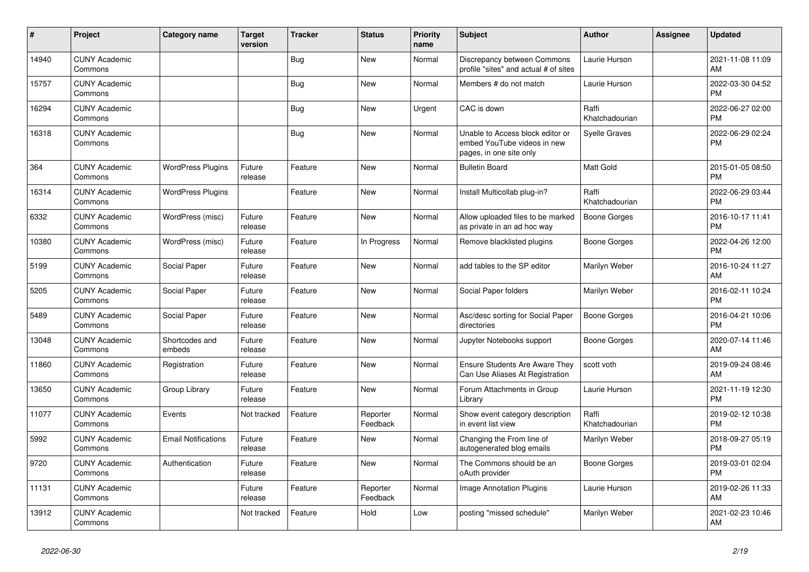| #     | Project                         | <b>Category name</b>       | <b>Target</b><br>version | <b>Tracker</b> | <b>Status</b>        | <b>Priority</b><br>name | <b>Subject</b>                                                                             | <b>Author</b>           | <b>Assignee</b> | <b>Updated</b>                |
|-------|---------------------------------|----------------------------|--------------------------|----------------|----------------------|-------------------------|--------------------------------------------------------------------------------------------|-------------------------|-----------------|-------------------------------|
| 14940 | <b>CUNY Academic</b><br>Commons |                            |                          | Bug            | <b>New</b>           | Normal                  | Discrepancy between Commons<br>profile "sites" and actual # of sites                       | Laurie Hurson           |                 | 2021-11-08 11:09<br>AM        |
| 15757 | <b>CUNY Academic</b><br>Commons |                            |                          | Bug            | <b>New</b>           | Normal                  | Members # do not match                                                                     | Laurie Hurson           |                 | 2022-03-30 04:52<br><b>PM</b> |
| 16294 | <b>CUNY Academic</b><br>Commons |                            |                          | Bug            | <b>New</b>           | Urgent                  | CAC is down                                                                                | Raffi<br>Khatchadourian |                 | 2022-06-27 02:00<br><b>PM</b> |
| 16318 | <b>CUNY Academic</b><br>Commons |                            |                          | Bug            | <b>New</b>           | Normal                  | Unable to Access block editor or<br>embed YouTube videos in new<br>pages, in one site only | <b>Syelle Graves</b>    |                 | 2022-06-29 02:24<br><b>PM</b> |
| 364   | <b>CUNY Academic</b><br>Commons | <b>WordPress Plugins</b>   | Future<br>release        | Feature        | <b>New</b>           | Normal                  | <b>Bulletin Board</b>                                                                      | <b>Matt Gold</b>        |                 | 2015-01-05 08:50<br><b>PM</b> |
| 16314 | <b>CUNY Academic</b><br>Commons | <b>WordPress Plugins</b>   |                          | Feature        | <b>New</b>           | Normal                  | Install Multicollab plug-in?                                                               | Raffi<br>Khatchadourian |                 | 2022-06-29 03:44<br><b>PM</b> |
| 6332  | <b>CUNY Academic</b><br>Commons | WordPress (misc)           | Future<br>release        | Feature        | <b>New</b>           | Normal                  | Allow uploaded files to be marked<br>as private in an ad hoc way                           | <b>Boone Gorges</b>     |                 | 2016-10-17 11:41<br><b>PM</b> |
| 10380 | <b>CUNY Academic</b><br>Commons | WordPress (misc)           | Future<br>release        | Feature        | In Progress          | Normal                  | Remove blacklisted plugins                                                                 | Boone Gorges            |                 | 2022-04-26 12:00<br><b>PM</b> |
| 5199  | <b>CUNY Academic</b><br>Commons | Social Paper               | Future<br>release        | Feature        | New                  | Normal                  | add tables to the SP editor                                                                | Marilyn Weber           |                 | 2016-10-24 11:27<br>AM        |
| 5205  | <b>CUNY Academic</b><br>Commons | Social Paper               | Future<br>release        | Feature        | <b>New</b>           | Normal                  | Social Paper folders                                                                       | Marilyn Weber           |                 | 2016-02-11 10:24<br><b>PM</b> |
| 5489  | <b>CUNY Academic</b><br>Commons | Social Paper               | Future<br>release        | Feature        | <b>New</b>           | Normal                  | Asc/desc sorting for Social Paper<br>directories                                           | <b>Boone Gorges</b>     |                 | 2016-04-21 10:06<br><b>PM</b> |
| 13048 | <b>CUNY Academic</b><br>Commons | Shortcodes and<br>embeds   | Future<br>release        | Feature        | <b>New</b>           | Normal                  | Jupyter Notebooks support                                                                  | Boone Gorges            |                 | 2020-07-14 11:46<br>AM        |
| 11860 | <b>CUNY Academic</b><br>Commons | Registration               | Future<br>release        | Feature        | <b>New</b>           | Normal                  | <b>Ensure Students Are Aware They</b><br>Can Use Aliases At Registration                   | scott voth              |                 | 2019-09-24 08:46<br>AM        |
| 13650 | <b>CUNY Academic</b><br>Commons | Group Library              | Future<br>release        | Feature        | <b>New</b>           | Normal                  | Forum Attachments in Group<br>Library                                                      | Laurie Hurson           |                 | 2021-11-19 12:30<br><b>PM</b> |
| 11077 | <b>CUNY Academic</b><br>Commons | Events                     | Not tracked              | Feature        | Reporter<br>Feedback | Normal                  | Show event category description<br>in event list view                                      | Raffi<br>Khatchadourian |                 | 2019-02-12 10:38<br><b>PM</b> |
| 5992  | <b>CUNY Academic</b><br>Commons | <b>Email Notifications</b> | Future<br>release        | Feature        | <b>New</b>           | Normal                  | Changing the From line of<br>autogenerated blog emails                                     | Marilyn Weber           |                 | 2018-09-27 05:19<br><b>PM</b> |
| 9720  | <b>CUNY Academic</b><br>Commons | Authentication             | Future<br>release        | Feature        | <b>New</b>           | Normal                  | The Commons should be an<br>oAuth provider                                                 | Boone Gorges            |                 | 2019-03-01 02:04<br><b>PM</b> |
| 11131 | <b>CUNY Academic</b><br>Commons |                            | Future<br>release        | Feature        | Reporter<br>Feedback | Normal                  | Image Annotation Plugins                                                                   | Laurie Hurson           |                 | 2019-02-26 11:33<br>AM        |
| 13912 | <b>CUNY Academic</b><br>Commons |                            | Not tracked              | Feature        | Hold                 | Low                     | posting "missed schedule"                                                                  | Marilyn Weber           |                 | 2021-02-23 10:46<br>AM        |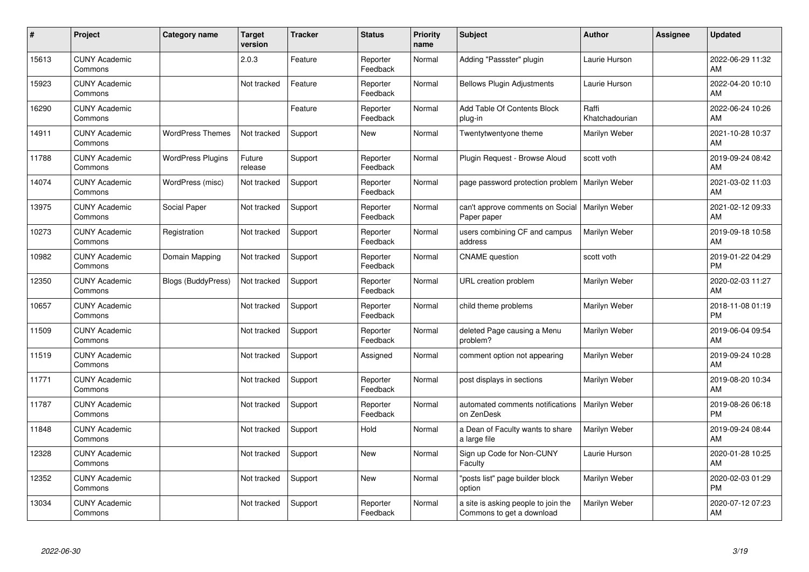| #     | Project                         | <b>Category name</b>      | <b>Target</b><br>version | <b>Tracker</b> | <b>Status</b>        | <b>Priority</b><br>name | <b>Subject</b>                                                   | <b>Author</b>           | <b>Assignee</b> | <b>Updated</b>                |
|-------|---------------------------------|---------------------------|--------------------------|----------------|----------------------|-------------------------|------------------------------------------------------------------|-------------------------|-----------------|-------------------------------|
| 15613 | <b>CUNY Academic</b><br>Commons |                           | 2.0.3                    | Feature        | Reporter<br>Feedback | Normal                  | Adding "Passster" plugin                                         | Laurie Hurson           |                 | 2022-06-29 11:32<br>AM        |
| 15923 | <b>CUNY Academic</b><br>Commons |                           | Not tracked              | Feature        | Reporter<br>Feedback | Normal                  | <b>Bellows Plugin Adjustments</b>                                | Laurie Hurson           |                 | 2022-04-20 10:10<br>AM        |
| 16290 | <b>CUNY Academic</b><br>Commons |                           |                          | Feature        | Reporter<br>Feedback | Normal                  | Add Table Of Contents Block<br>plug-in                           | Raffi<br>Khatchadourian |                 | 2022-06-24 10:26<br>AM        |
| 14911 | <b>CUNY Academic</b><br>Commons | <b>WordPress Themes</b>   | Not tracked              | Support        | New                  | Normal                  | Twentytwentyone theme                                            | Marilyn Weber           |                 | 2021-10-28 10:37<br>AM        |
| 11788 | <b>CUNY Academic</b><br>Commons | <b>WordPress Plugins</b>  | Future<br>release        | Support        | Reporter<br>Feedback | Normal                  | Plugin Request - Browse Aloud                                    | scott voth              |                 | 2019-09-24 08:42<br>AM        |
| 14074 | <b>CUNY Academic</b><br>Commons | WordPress (misc)          | Not tracked              | Support        | Reporter<br>Feedback | Normal                  | page password protection problem                                 | Marilyn Weber           |                 | 2021-03-02 11:03<br><b>AM</b> |
| 13975 | <b>CUNY Academic</b><br>Commons | Social Paper              | Not tracked              | Support        | Reporter<br>Feedback | Normal                  | can't approve comments on Social<br>Paper paper                  | Marilyn Weber           |                 | 2021-02-12 09:33<br>AM        |
| 10273 | <b>CUNY Academic</b><br>Commons | Registration              | Not tracked              | Support        | Reporter<br>Feedback | Normal                  | users combining CF and campus<br>address                         | Marilyn Weber           |                 | 2019-09-18 10:58<br>AM        |
| 10982 | <b>CUNY Academic</b><br>Commons | Domain Mapping            | Not tracked              | Support        | Reporter<br>Feedback | Normal                  | <b>CNAME</b> question                                            | scott voth              |                 | 2019-01-22 04:29<br><b>PM</b> |
| 12350 | <b>CUNY Academic</b><br>Commons | <b>Blogs (BuddyPress)</b> | Not tracked              | Support        | Reporter<br>Feedback | Normal                  | URL creation problem                                             | Marilyn Weber           |                 | 2020-02-03 11:27<br>AM        |
| 10657 | <b>CUNY Academic</b><br>Commons |                           | Not tracked              | Support        | Reporter<br>Feedback | Normal                  | child theme problems                                             | Marilyn Weber           |                 | 2018-11-08 01:19<br><b>PM</b> |
| 11509 | <b>CUNY Academic</b><br>Commons |                           | Not tracked              | Support        | Reporter<br>Feedback | Normal                  | deleted Page causing a Menu<br>problem?                          | Marilyn Weber           |                 | 2019-06-04 09:54<br>AM        |
| 11519 | <b>CUNY Academic</b><br>Commons |                           | Not tracked              | Support        | Assigned             | Normal                  | comment option not appearing                                     | Marilyn Weber           |                 | 2019-09-24 10:28<br>AM        |
| 11771 | <b>CUNY Academic</b><br>Commons |                           | Not tracked              | Support        | Reporter<br>Feedback | Normal                  | post displays in sections                                        | Marilyn Weber           |                 | 2019-08-20 10:34<br><b>AM</b> |
| 11787 | <b>CUNY Academic</b><br>Commons |                           | Not tracked              | Support        | Reporter<br>Feedback | Normal                  | automated comments notifications<br>on ZenDesk                   | Marilyn Weber           |                 | 2019-08-26 06:18<br><b>PM</b> |
| 11848 | <b>CUNY Academic</b><br>Commons |                           | Not tracked              | Support        | Hold                 | Normal                  | a Dean of Faculty wants to share<br>a large file                 | Marilyn Weber           |                 | 2019-09-24 08:44<br><b>AM</b> |
| 12328 | <b>CUNY Academic</b><br>Commons |                           | Not tracked              | Support        | New                  | Normal                  | Sign up Code for Non-CUNY<br>Faculty                             | Laurie Hurson           |                 | 2020-01-28 10:25<br><b>AM</b> |
| 12352 | <b>CUNY Academic</b><br>Commons |                           | Not tracked              | Support        | <b>New</b>           | Normal                  | "posts list" page builder block<br>option                        | Marilyn Weber           |                 | 2020-02-03 01:29<br><b>PM</b> |
| 13034 | <b>CUNY Academic</b><br>Commons |                           | Not tracked              | Support        | Reporter<br>Feedback | Normal                  | a site is asking people to join the<br>Commons to get a download | Marilyn Weber           |                 | 2020-07-12 07:23<br>AM        |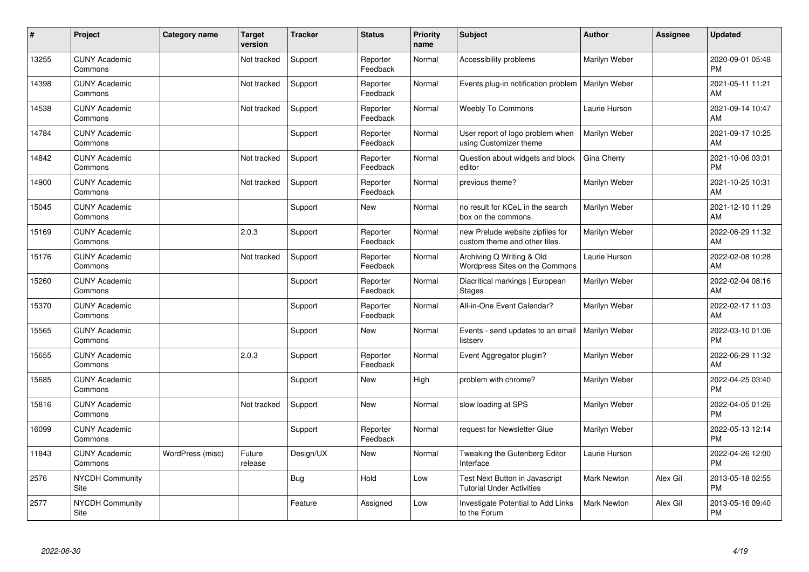| #     | Project                         | <b>Category name</b> | <b>Target</b><br>version | <b>Tracker</b> | <b>Status</b>        | <b>Priority</b><br>name | <b>Subject</b>                                                     | <b>Author</b>      | Assignee | <b>Updated</b>                |
|-------|---------------------------------|----------------------|--------------------------|----------------|----------------------|-------------------------|--------------------------------------------------------------------|--------------------|----------|-------------------------------|
| 13255 | <b>CUNY Academic</b><br>Commons |                      | Not tracked              | Support        | Reporter<br>Feedback | Normal                  | Accessibility problems                                             | Marilyn Weber      |          | 2020-09-01 05:48<br><b>PM</b> |
| 14398 | <b>CUNY Academic</b><br>Commons |                      | Not tracked              | Support        | Reporter<br>Feedback | Normal                  | Events plug-in notification problem                                | Marilyn Weber      |          | 2021-05-11 11:21<br>AM        |
| 14538 | <b>CUNY Academic</b><br>Commons |                      | Not tracked              | Support        | Reporter<br>Feedback | Normal                  | <b>Weebly To Commons</b>                                           | Laurie Hurson      |          | 2021-09-14 10:47<br>AM        |
| 14784 | <b>CUNY Academic</b><br>Commons |                      |                          | Support        | Reporter<br>Feedback | Normal                  | User report of logo problem when<br>using Customizer theme         | Marilyn Weber      |          | 2021-09-17 10:25<br>AM        |
| 14842 | <b>CUNY Academic</b><br>Commons |                      | Not tracked              | Support        | Reporter<br>Feedback | Normal                  | Question about widgets and block<br>editor                         | Gina Cherry        |          | 2021-10-06 03:01<br><b>PM</b> |
| 14900 | <b>CUNY Academic</b><br>Commons |                      | Not tracked              | Support        | Reporter<br>Feedback | Normal                  | previous theme?                                                    | Marilyn Weber      |          | 2021-10-25 10:31<br>AM        |
| 15045 | <b>CUNY Academic</b><br>Commons |                      |                          | Support        | New                  | Normal                  | no result for KCeL in the search<br>box on the commons             | Marilyn Weber      |          | 2021-12-10 11:29<br>AM        |
| 15169 | <b>CUNY Academic</b><br>Commons |                      | 2.0.3                    | Support        | Reporter<br>Feedback | Normal                  | new Prelude website zipfiles for<br>custom theme and other files.  | Marilyn Weber      |          | 2022-06-29 11:32<br>AM        |
| 15176 | <b>CUNY Academic</b><br>Commons |                      | Not tracked              | Support        | Reporter<br>Feedback | Normal                  | Archiving Q Writing & Old<br>Wordpress Sites on the Commons        | Laurie Hurson      |          | 2022-02-08 10:28<br>AM        |
| 15260 | <b>CUNY Academic</b><br>Commons |                      |                          | Support        | Reporter<br>Feedback | Normal                  | Diacritical markings   European<br>Stages                          | Marilyn Weber      |          | 2022-02-04 08:16<br>AM        |
| 15370 | <b>CUNY Academic</b><br>Commons |                      |                          | Support        | Reporter<br>Feedback | Normal                  | All-in-One Event Calendar?                                         | Marilyn Weber      |          | 2022-02-17 11:03<br>AM        |
| 15565 | <b>CUNY Academic</b><br>Commons |                      |                          | Support        | New                  | Normal                  | Events - send updates to an email<br>listserv                      | Marilyn Weber      |          | 2022-03-10 01:06<br><b>PM</b> |
| 15655 | <b>CUNY Academic</b><br>Commons |                      | 2.0.3                    | Support        | Reporter<br>Feedback | Normal                  | Event Aggregator plugin?                                           | Marilyn Weber      |          | 2022-06-29 11:32<br>AM        |
| 15685 | <b>CUNY Academic</b><br>Commons |                      |                          | Support        | New                  | High                    | problem with chrome?                                               | Marilyn Weber      |          | 2022-04-25 03:40<br><b>PM</b> |
| 15816 | <b>CUNY Academic</b><br>Commons |                      | Not tracked              | Support        | New                  | Normal                  | slow loading at SPS                                                | Marilyn Weber      |          | 2022-04-05 01:26<br><b>PM</b> |
| 16099 | <b>CUNY Academic</b><br>Commons |                      |                          | Support        | Reporter<br>Feedback | Normal                  | request for Newsletter Glue                                        | Marilyn Weber      |          | 2022-05-13 12:14<br><b>PM</b> |
| 11843 | <b>CUNY Academic</b><br>Commons | WordPress (misc)     | Future<br>release        | Design/UX      | New                  | Normal                  | Tweaking the Gutenberg Editor<br>Interface                         | Laurie Hurson      |          | 2022-04-26 12:00<br><b>PM</b> |
| 2576  | <b>NYCDH Community</b><br>Site  |                      |                          | Bug            | Hold                 | Low                     | Test Next Button in Javascript<br><b>Tutorial Under Activities</b> | <b>Mark Newton</b> | Alex Gil | 2013-05-18 02:55<br><b>PM</b> |
| 2577  | NYCDH Community<br>Site         |                      |                          | Feature        | Assigned             | Low                     | Investigate Potential to Add Links<br>to the Forum                 | Mark Newton        | Alex Gil | 2013-05-16 09:40<br>PM        |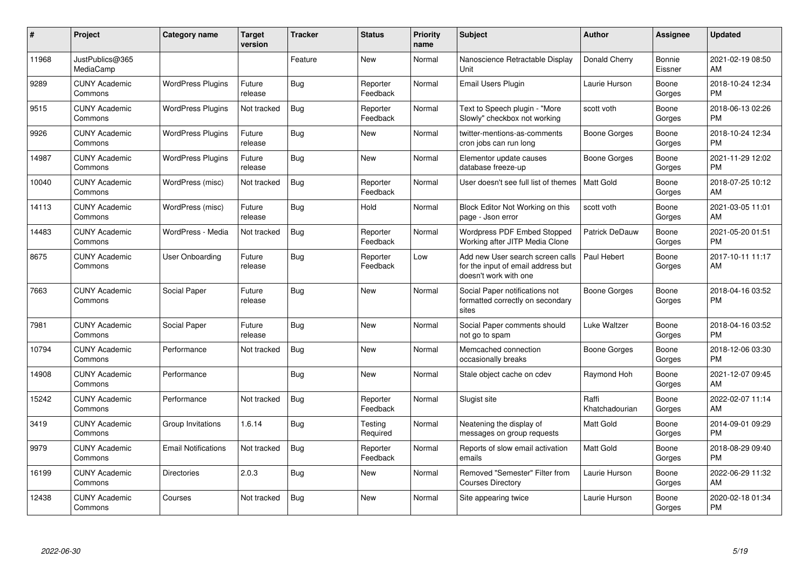| #     | Project                         | Category name              | <b>Target</b><br>version | <b>Tracker</b> | <b>Status</b>        | Priority<br>name | <b>Subject</b>                                                                                  | <b>Author</b>           | <b>Assignee</b>          | <b>Updated</b>                |
|-------|---------------------------------|----------------------------|--------------------------|----------------|----------------------|------------------|-------------------------------------------------------------------------------------------------|-------------------------|--------------------------|-------------------------------|
| 11968 | JustPublics@365<br>MediaCamp    |                            |                          | Feature        | <b>New</b>           | Normal           | Nanoscience Retractable Display<br>Unit                                                         | Donald Cherry           | <b>Bonnie</b><br>Eissner | 2021-02-19 08:50<br><b>AM</b> |
| 9289  | <b>CUNY Academic</b><br>Commons | <b>WordPress Plugins</b>   | Future<br>release        | Bug            | Reporter<br>Feedback | Normal           | <b>Email Users Plugin</b>                                                                       | Laurie Hurson           | Boone<br>Gorges          | 2018-10-24 12:34<br><b>PM</b> |
| 9515  | <b>CUNY Academic</b><br>Commons | <b>WordPress Plugins</b>   | Not tracked              | <b>Bug</b>     | Reporter<br>Feedback | Normal           | Text to Speech plugin - "More<br>Slowly" checkbox not working                                   | scott voth              | Boone<br>Gorges          | 2018-06-13 02:26<br><b>PM</b> |
| 9926  | <b>CUNY Academic</b><br>Commons | <b>WordPress Plugins</b>   | Future<br>release        | Bug            | New                  | Normal           | twitter-mentions-as-comments<br>cron jobs can run long                                          | Boone Gorges            | Boone<br>Gorges          | 2018-10-24 12:34<br><b>PM</b> |
| 14987 | <b>CUNY Academic</b><br>Commons | <b>WordPress Plugins</b>   | Future<br>release        | Bug            | <b>New</b>           | Normal           | Elementor update causes<br>database freeze-up                                                   | Boone Gorges            | Boone<br>Gorges          | 2021-11-29 12:02<br><b>PM</b> |
| 10040 | <b>CUNY Academic</b><br>Commons | WordPress (misc)           | Not tracked              | <b>Bug</b>     | Reporter<br>Feedback | Normal           | User doesn't see full list of themes                                                            | <b>Matt Gold</b>        | Boone<br>Gorges          | 2018-07-25 10:12<br>AM        |
| 14113 | <b>CUNY Academic</b><br>Commons | WordPress (misc)           | Future<br>release        | <b>Bug</b>     | Hold                 | Normal           | Block Editor Not Working on this<br>page - Json error                                           | scott voth              | Boone<br>Gorges          | 2021-03-05 11:01<br>AM        |
| 14483 | <b>CUNY Academic</b><br>Commons | WordPress - Media          | Not tracked              | <b>Bug</b>     | Reporter<br>Feedback | Normal           | <b>Wordpress PDF Embed Stopped</b><br>Working after JITP Media Clone                            | Patrick DeDauw          | Boone<br>Gorges          | 2021-05-20 01:51<br><b>PM</b> |
| 8675  | <b>CUNY Academic</b><br>Commons | User Onboarding            | Future<br>release        | <b>Bug</b>     | Reporter<br>Feedback | Low              | Add new User search screen calls<br>for the input of email address but<br>doesn't work with one | Paul Hebert             | Boone<br>Gorges          | 2017-10-11 11:17<br>AM        |
| 7663  | <b>CUNY Academic</b><br>Commons | Social Paper               | Future<br>release        | <b>Bug</b>     | <b>New</b>           | Normal           | Social Paper notifications not<br>formatted correctly on secondary<br>sites                     | Boone Gorges            | Boone<br>Gorges          | 2018-04-16 03:52<br><b>PM</b> |
| 7981  | <b>CUNY Academic</b><br>Commons | Social Paper               | Future<br>release        | Bug            | <b>New</b>           | Normal           | Social Paper comments should<br>not go to spam                                                  | Luke Waltzer            | Boone<br>Gorges          | 2018-04-16 03:52<br><b>PM</b> |
| 10794 | <b>CUNY Academic</b><br>Commons | Performance                | Not tracked              | Bug            | <b>New</b>           | Normal           | Memcached connection<br>occasionally breaks                                                     | Boone Gorges            | Boone<br>Gorges          | 2018-12-06 03:30<br><b>PM</b> |
| 14908 | <b>CUNY Academic</b><br>Commons | Performance                |                          | Bug            | <b>New</b>           | Normal           | Stale object cache on cdev                                                                      | Raymond Hoh             | Boone<br>Gorges          | 2021-12-07 09:45<br><b>AM</b> |
| 15242 | <b>CUNY Academic</b><br>Commons | Performance                | Not tracked              | Bug            | Reporter<br>Feedback | Normal           | Slugist site                                                                                    | Raffi<br>Khatchadourian | Boone<br>Gorges          | 2022-02-07 11:14<br>AM        |
| 3419  | <b>CUNY Academic</b><br>Commons | Group Invitations          | 1.6.14                   | Bug            | Testing<br>Required  | Normal           | Neatening the display of<br>messages on group requests                                          | Matt Gold               | Boone<br>Gorges          | 2014-09-01 09:29<br><b>PM</b> |
| 9979  | <b>CUNY Academic</b><br>Commons | <b>Email Notifications</b> | Not tracked              | <b>Bug</b>     | Reporter<br>Feedback | Normal           | Reports of slow email activation<br>emails                                                      | Matt Gold               | Boone<br>Gorges          | 2018-08-29 09:40<br>PM        |
| 16199 | <b>CUNY Academic</b><br>Commons | Directories                | 2.0.3                    | <b>Bug</b>     | <b>New</b>           | Normal           | Removed "Semester" Filter from<br><b>Courses Directory</b>                                      | Laurie Hurson           | Boone<br>Gorges          | 2022-06-29 11:32<br>AM        |
| 12438 | <b>CUNY Academic</b><br>Commons | Courses                    | Not tracked              | <b>Bug</b>     | <b>New</b>           | Normal           | Site appearing twice                                                                            | Laurie Hurson           | Boone<br>Gorges          | 2020-02-18 01:34<br>PM        |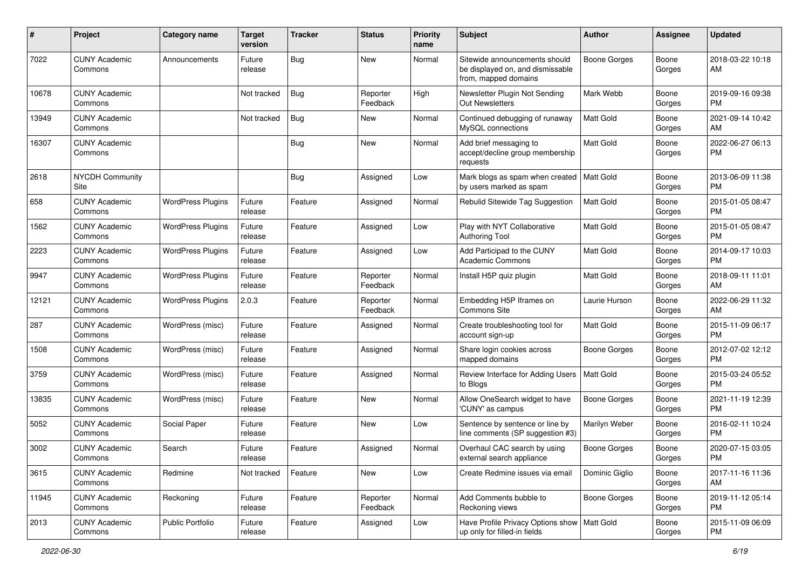| #     | Project                         | <b>Category name</b>     | <b>Target</b><br>version | <b>Tracker</b> | <b>Status</b>        | <b>Priority</b><br>name | <b>Subject</b>                                                                            | Author              | <b>Assignee</b> | <b>Updated</b>                |
|-------|---------------------------------|--------------------------|--------------------------|----------------|----------------------|-------------------------|-------------------------------------------------------------------------------------------|---------------------|-----------------|-------------------------------|
| 7022  | <b>CUNY Academic</b><br>Commons | Announcements            | Future<br>release        | Bug            | <b>New</b>           | Normal                  | Sitewide announcements should<br>be displayed on, and dismissable<br>from, mapped domains | <b>Boone Gorges</b> | Boone<br>Gorges | 2018-03-22 10:18<br>AM        |
| 10678 | <b>CUNY Academic</b><br>Commons |                          | Not tracked              | <b>Bug</b>     | Reporter<br>Feedback | High                    | Newsletter Plugin Not Sending<br>Out Newsletters                                          | Mark Webb           | Boone<br>Gorges | 2019-09-16 09:38<br>PM.       |
| 13949 | <b>CUNY Academic</b><br>Commons |                          | Not tracked              | <b>Bug</b>     | New                  | Normal                  | Continued debugging of runaway<br>MySQL connections                                       | <b>Matt Gold</b>    | Boone<br>Gorges | 2021-09-14 10:42<br>AM        |
| 16307 | <b>CUNY Academic</b><br>Commons |                          |                          | <b>Bug</b>     | <b>New</b>           | Normal                  | Add brief messaging to<br>accept/decline group membership<br>requests                     | Matt Gold           | Boone<br>Gorges | 2022-06-27 06:13<br><b>PM</b> |
| 2618  | <b>NYCDH Community</b><br>Site  |                          |                          | <b>Bug</b>     | Assigned             | Low                     | Mark blogs as spam when created<br>by users marked as spam                                | Matt Gold           | Boone<br>Gorges | 2013-06-09 11:38<br><b>PM</b> |
| 658   | <b>CUNY Academic</b><br>Commons | <b>WordPress Plugins</b> | Future<br>release        | Feature        | Assigned             | Normal                  | Rebulid Sitewide Tag Suggestion                                                           | <b>Matt Gold</b>    | Boone<br>Gorges | 2015-01-05 08:47<br><b>PM</b> |
| 1562  | <b>CUNY Academic</b><br>Commons | <b>WordPress Plugins</b> | Future<br>release        | Feature        | Assigned             | Low                     | Play with NYT Collaborative<br><b>Authoring Tool</b>                                      | Matt Gold           | Boone<br>Gorges | 2015-01-05 08:47<br><b>PM</b> |
| 2223  | <b>CUNY Academic</b><br>Commons | <b>WordPress Plugins</b> | Future<br>release        | Feature        | Assigned             | Low                     | Add Participad to the CUNY<br><b>Academic Commons</b>                                     | Matt Gold           | Boone<br>Gorges | 2014-09-17 10:03<br><b>PM</b> |
| 9947  | <b>CUNY Academic</b><br>Commons | <b>WordPress Plugins</b> | Future<br>release        | Feature        | Reporter<br>Feedback | Normal                  | Install H5P quiz plugin                                                                   | <b>Matt Gold</b>    | Boone<br>Gorges | 2018-09-11 11:01<br>AM        |
| 12121 | <b>CUNY Academic</b><br>Commons | <b>WordPress Plugins</b> | 2.0.3                    | Feature        | Reporter<br>Feedback | Normal                  | Embedding H5P Iframes on<br>Commons Site                                                  | Laurie Hurson       | Boone<br>Gorges | 2022-06-29 11:32<br>AM        |
| 287   | <b>CUNY Academic</b><br>Commons | WordPress (misc)         | Future<br>release        | Feature        | Assigned             | Normal                  | Create troubleshooting tool for<br>account sign-up                                        | <b>Matt Gold</b>    | Boone<br>Gorges | 2015-11-09 06:17<br><b>PM</b> |
| 1508  | <b>CUNY Academic</b><br>Commons | WordPress (misc)         | Future<br>release        | Feature        | Assigned             | Normal                  | Share login cookies across<br>mapped domains                                              | <b>Boone Gorges</b> | Boone<br>Gorges | 2012-07-02 12:12<br><b>PM</b> |
| 3759  | <b>CUNY Academic</b><br>Commons | WordPress (misc)         | Future<br>release        | Feature        | Assigned             | Normal                  | Review Interface for Adding Users<br>to Blogs                                             | <b>Matt Gold</b>    | Boone<br>Gorges | 2015-03-24 05:52<br>PM        |
| 13835 | <b>CUNY Academic</b><br>Commons | WordPress (misc)         | Future<br>release        | Feature        | <b>New</b>           | Normal                  | Allow OneSearch widget to have<br>'CUNY' as campus                                        | <b>Boone Gorges</b> | Boone<br>Gorges | 2021-11-19 12:39<br><b>PM</b> |
| 5052  | <b>CUNY Academic</b><br>Commons | Social Paper             | Future<br>release        | Feature        | New                  | Low                     | Sentence by sentence or line by<br>line comments (SP suggestion #3)                       | Marilyn Weber       | Boone<br>Gorges | 2016-02-11 10:24<br><b>PM</b> |
| 3002  | <b>CUNY Academic</b><br>Commons | Search                   | Future<br>release        | Feature        | Assigned             | Normal                  | Overhaul CAC search by using<br>external search appliance                                 | <b>Boone Gorges</b> | Boone<br>Gorges | 2020-07-15 03:05<br>PM        |
| 3615  | <b>CUNY Academic</b><br>Commons | Redmine                  | Not tracked              | Feature        | New                  | Low                     | Create Redmine issues via email                                                           | Dominic Giglio      | Boone<br>Gorges | 2017-11-16 11:36<br>AM        |
| 11945 | <b>CUNY Academic</b><br>Commons | Reckoning                | Future<br>release        | Feature        | Reporter<br>Feedback | Normal                  | Add Comments bubble to<br>Reckoning views                                                 | <b>Boone Gorges</b> | Boone<br>Gorges | 2019-11-12 05:14<br><b>PM</b> |
| 2013  | <b>CUNY Academic</b><br>Commons | Public Portfolio         | Future<br>release        | Feature        | Assigned             | Low                     | Have Profile Privacy Options show   Matt Gold<br>up only for filled-in fields             |                     | Boone<br>Gorges | 2015-11-09 06:09<br><b>PM</b> |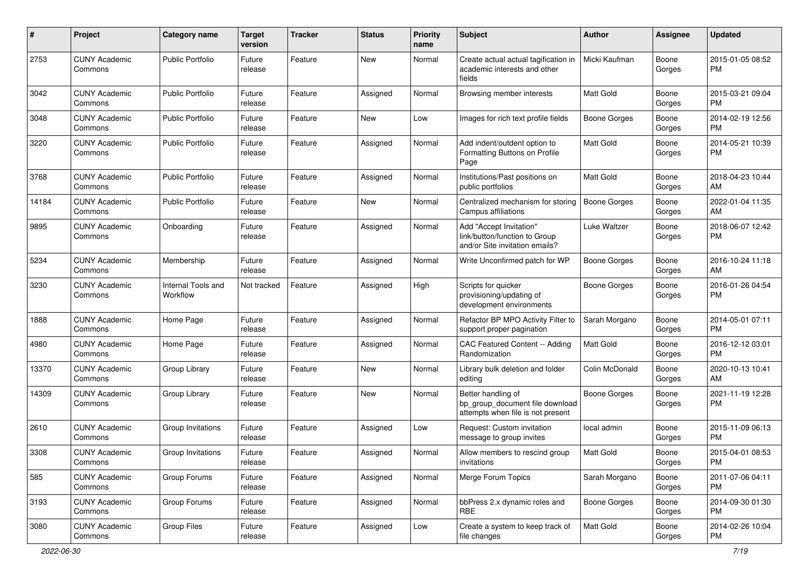| #     | Project                         | <b>Category name</b>           | <b>Target</b><br>version | <b>Tracker</b> | <b>Status</b> | Priority<br>name | <b>Subject</b>                                                                             | Author              | <b>Assignee</b> | <b>Updated</b>                |
|-------|---------------------------------|--------------------------------|--------------------------|----------------|---------------|------------------|--------------------------------------------------------------------------------------------|---------------------|-----------------|-------------------------------|
| 2753  | <b>CUNY Academic</b><br>Commons | Public Portfolio               | Future<br>release        | Feature        | <b>New</b>    | Normal           | Create actual actual tagification in<br>academic interests and other<br>fields             | Micki Kaufman       | Boone<br>Gorges | 2015-01-05 08:52<br><b>PM</b> |
| 3042  | <b>CUNY Academic</b><br>Commons | Public Portfolio               | Future<br>release        | Feature        | Assigned      | Normal           | Browsing member interests                                                                  | <b>Matt Gold</b>    | Boone<br>Gorges | 2015-03-21 09:04<br>PM.       |
| 3048  | <b>CUNY Academic</b><br>Commons | <b>Public Portfolio</b>        | Future<br>release        | Feature        | New           | Low              | Images for rich text profile fields                                                        | <b>Boone Gorges</b> | Boone<br>Gorges | 2014-02-19 12:56<br><b>PM</b> |
| 3220  | <b>CUNY Academic</b><br>Commons | <b>Public Portfolio</b>        | Future<br>release        | Feature        | Assigned      | Normal           | Add indent/outdent option to<br>Formatting Buttons on Profile<br>Page                      | Matt Gold           | Boone<br>Gorges | 2014-05-21 10:39<br><b>PM</b> |
| 3768  | <b>CUNY Academic</b><br>Commons | <b>Public Portfolio</b>        | Future<br>release        | Feature        | Assigned      | Normal           | Institutions/Past positions on<br>public portfolios                                        | Matt Gold           | Boone<br>Gorges | 2018-04-23 10:44<br>AM        |
| 14184 | <b>CUNY Academic</b><br>Commons | <b>Public Portfolio</b>        | Future<br>release        | Feature        | New           | Normal           | Centralized mechanism for storing<br>Campus affiliations                                   | Boone Gorges        | Boone<br>Gorges | 2022-01-04 11:35<br>AM        |
| 9895  | <b>CUNY Academic</b><br>Commons | Onboarding                     | Future<br>release        | Feature        | Assigned      | Normal           | Add "Accept Invitation"<br>link/button/function to Group<br>and/or Site invitation emails? | Luke Waltzer        | Boone<br>Gorges | 2018-06-07 12:42<br><b>PM</b> |
| 5234  | <b>CUNY Academic</b><br>Commons | Membership                     | Future<br>release        | Feature        | Assigned      | Normal           | Write Unconfirmed patch for WP                                                             | Boone Gorges        | Boone<br>Gorges | 2016-10-24 11:18<br>AM        |
| 3230  | <b>CUNY Academic</b><br>Commons | Internal Tools and<br>Workflow | Not tracked              | Feature        | Assigned      | High             | Scripts for quicker<br>provisioning/updating of<br>development environments                | <b>Boone Gorges</b> | Boone<br>Gorges | 2016-01-26 04:54<br><b>PM</b> |
| 1888  | <b>CUNY Academic</b><br>Commons | Home Page                      | Future<br>release        | Feature        | Assigned      | Normal           | Refactor BP MPO Activity Filter to<br>support proper pagination                            | Sarah Morgano       | Boone<br>Gorges | 2014-05-01 07:11<br><b>PM</b> |
| 4980  | <b>CUNY Academic</b><br>Commons | Home Page                      | Future<br>release        | Feature        | Assigned      | Normal           | CAC Featured Content -- Adding<br>Randomization                                            | <b>Matt Gold</b>    | Boone<br>Gorges | 2016-12-12 03:01<br><b>PM</b> |
| 13370 | <b>CUNY Academic</b><br>Commons | Group Library                  | Future<br>release        | Feature        | New           | Normal           | Library bulk deletion and folder<br>editing                                                | Colin McDonald      | Boone<br>Gorges | 2020-10-13 10:41<br>AM        |
| 14309 | <b>CUNY Academic</b><br>Commons | Group Library                  | Future<br>release        | Feature        | <b>New</b>    | Normal           | Better handling of<br>bp group document file download<br>attempts when file is not present | <b>Boone Gorges</b> | Boone<br>Gorges | 2021-11-19 12:28<br><b>PM</b> |
| 2610  | <b>CUNY Academic</b><br>Commons | Group Invitations              | Future<br>release        | Feature        | Assigned      | Low              | Request: Custom invitation<br>message to group invites                                     | local admin         | Boone<br>Gorges | 2015-11-09 06:13<br><b>PM</b> |
| 3308  | <b>CUNY Academic</b><br>Commons | Group Invitations              | Future<br>release        | Feature        | Assigned      | Normal           | Allow members to rescind group<br>invitations                                              | <b>Matt Gold</b>    | Boone<br>Gorges | 2015-04-01 08:53<br><b>PM</b> |
| 585   | <b>CUNY Academic</b><br>Commons | Group Forums                   | Future<br>release        | Feature        | Assigned      | Normal           | Merge Forum Topics                                                                         | Sarah Morgano       | Boone<br>Gorges | 2011-07-06 04:11<br><b>PM</b> |
| 3193  | <b>CUNY Academic</b><br>Commons | Group Forums                   | Future<br>release        | Feature        | Assigned      | Normal           | bbPress 2.x dynamic roles and<br>RBE                                                       | <b>Boone Gorges</b> | Boone<br>Gorges | 2014-09-30 01:30<br>PM.       |
| 3080  | <b>CUNY Academic</b><br>Commons | <b>Group Files</b>             | Future<br>release        | Feature        | Assigned      | Low              | Create a system to keep track of<br>file changes                                           | <b>Matt Gold</b>    | Boone<br>Gorges | 2014-02-26 10:04<br>PM        |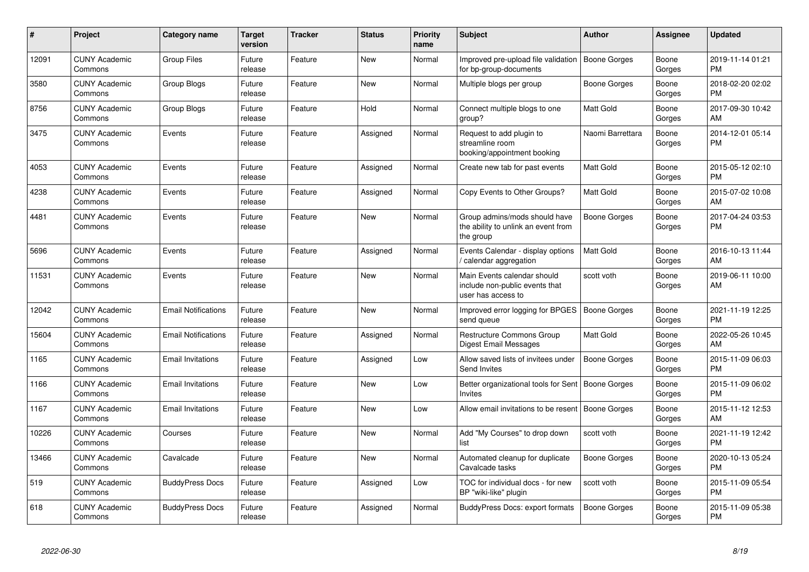| #     | <b>Project</b>                  | Category name              | <b>Target</b><br>version | <b>Tracker</b> | <b>Status</b> | <b>Priority</b><br>name | <b>Subject</b>                                                                      | <b>Author</b>       | Assignee        | <b>Updated</b>                |
|-------|---------------------------------|----------------------------|--------------------------|----------------|---------------|-------------------------|-------------------------------------------------------------------------------------|---------------------|-----------------|-------------------------------|
| 12091 | <b>CUNY Academic</b><br>Commons | <b>Group Files</b>         | Future<br>release        | Feature        | <b>New</b>    | Normal                  | Improved pre-upload file validation   Boone Gorges<br>for bp-group-documents        |                     | Boone<br>Gorges | 2019-11-14 01:21<br><b>PM</b> |
| 3580  | <b>CUNY Academic</b><br>Commons | <b>Group Blogs</b>         | Future<br>release        | Feature        | <b>New</b>    | Normal                  | Multiple blogs per group                                                            | Boone Gorges        | Boone<br>Gorges | 2018-02-20 02:02<br><b>PM</b> |
| 8756  | <b>CUNY Academic</b><br>Commons | Group Blogs                | Future<br>release        | Feature        | Hold          | Normal                  | Connect multiple blogs to one<br>group?                                             | <b>Matt Gold</b>    | Boone<br>Gorges | 2017-09-30 10:42<br>AM        |
| 3475  | <b>CUNY Academic</b><br>Commons | Events                     | Future<br>release        | Feature        | Assigned      | Normal                  | Request to add plugin to<br>streamline room<br>booking/appointment booking          | Naomi Barrettara    | Boone<br>Gorges | 2014-12-01 05:14<br><b>PM</b> |
| 4053  | <b>CUNY Academic</b><br>Commons | Events                     | Future<br>release        | Feature        | Assigned      | Normal                  | Create new tab for past events                                                      | Matt Gold           | Boone<br>Gorges | 2015-05-12 02:10<br><b>PM</b> |
| 4238  | <b>CUNY Academic</b><br>Commons | Events                     | Future<br>release        | Feature        | Assigned      | Normal                  | Copy Events to Other Groups?                                                        | <b>Matt Gold</b>    | Boone<br>Gorges | 2015-07-02 10:08<br>AM        |
| 4481  | <b>CUNY Academic</b><br>Commons | Events                     | Future<br>release        | Feature        | <b>New</b>    | Normal                  | Group admins/mods should have<br>the ability to unlink an event from<br>the group   | Boone Gorges        | Boone<br>Gorges | 2017-04-24 03:53<br><b>PM</b> |
| 5696  | <b>CUNY Academic</b><br>Commons | Events                     | Future<br>release        | Feature        | Assigned      | Normal                  | Events Calendar - display options<br>/ calendar aggregation                         | <b>Matt Gold</b>    | Boone<br>Gorges | 2016-10-13 11:44<br>AM        |
| 11531 | <b>CUNY Academic</b><br>Commons | Events                     | Future<br>release        | Feature        | New           | Normal                  | Main Events calendar should<br>include non-public events that<br>user has access to | scott voth          | Boone<br>Gorges | 2019-06-11 10:00<br>AM        |
| 12042 | <b>CUNY Academic</b><br>Commons | <b>Email Notifications</b> | Future<br>release        | Feature        | <b>New</b>    | Normal                  | Improved error logging for BPGES<br>send queue                                      | <b>Boone Gorges</b> | Boone<br>Gorges | 2021-11-19 12:25<br><b>PM</b> |
| 15604 | <b>CUNY Academic</b><br>Commons | <b>Email Notifications</b> | Future<br>release        | Feature        | Assigned      | Normal                  | <b>Restructure Commons Group</b><br>Digest Email Messages                           | <b>Matt Gold</b>    | Boone<br>Gorges | 2022-05-26 10:45<br>AM        |
| 1165  | <b>CUNY Academic</b><br>Commons | <b>Email Invitations</b>   | Future<br>release        | Feature        | Assigned      | Low                     | Allow saved lists of invitees under<br>Send Invites                                 | Boone Gorges        | Boone<br>Gorges | 2015-11-09 06:03<br><b>PM</b> |
| 1166  | <b>CUNY Academic</b><br>Commons | <b>Email Invitations</b>   | Future<br>release        | Feature        | <b>New</b>    | Low                     | Better organizational tools for Sent   Boone Gorges<br><b>Invites</b>               |                     | Boone<br>Gorges | 2015-11-09 06:02<br><b>PM</b> |
| 1167  | <b>CUNY Academic</b><br>Commons | <b>Email Invitations</b>   | Future<br>release        | Feature        | New           | Low                     | Allow email invitations to be resent   Boone Gorges                                 |                     | Boone<br>Gorges | 2015-11-12 12:53<br>AM        |
| 10226 | <b>CUNY Academic</b><br>Commons | Courses                    | Future<br>release        | Feature        | New           | Normal                  | Add "My Courses" to drop down<br>list                                               | scott voth          | Boone<br>Gorges | 2021-11-19 12:42<br><b>PM</b> |
| 13466 | <b>CUNY Academic</b><br>Commons | Cavalcade                  | Future<br>release        | Feature        | <b>New</b>    | Normal                  | Automated cleanup for duplicate<br>Cavalcade tasks                                  | Boone Gorges        | Boone<br>Gorges | 2020-10-13 05:24<br><b>PM</b> |
| 519   | <b>CUNY Academic</b><br>Commons | <b>BuddyPress Docs</b>     | Future<br>release        | Feature        | Assigned      | Low                     | TOC for individual docs - for new<br>BP "wiki-like" plugin                          | scott voth          | Boone<br>Gorges | 2015-11-09 05:54<br><b>PM</b> |
| 618   | <b>CUNY Academic</b><br>Commons | <b>BuddyPress Docs</b>     | Future<br>release        | Feature        | Assigned      | Normal                  | <b>BuddyPress Docs: export formats</b>                                              | <b>Boone Gorges</b> | Boone<br>Gorges | 2015-11-09 05:38<br><b>PM</b> |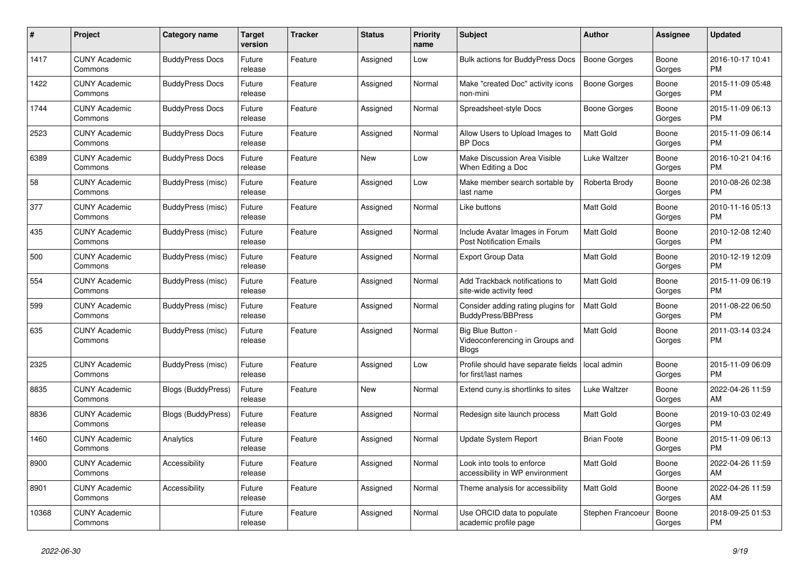| $\pmb{\#}$ | <b>Project</b>                  | Category name             | <b>Target</b><br>version | Tracker | <b>Status</b> | <b>Priority</b><br>name | <b>Subject</b>                                                       | <b>Author</b>       | Assignee        | <b>Updated</b>                |
|------------|---------------------------------|---------------------------|--------------------------|---------|---------------|-------------------------|----------------------------------------------------------------------|---------------------|-----------------|-------------------------------|
| 1417       | <b>CUNY Academic</b><br>Commons | <b>BuddyPress Docs</b>    | Future<br>release        | Feature | Assigned      | Low                     | <b>Bulk actions for BuddyPress Docs</b>                              | Boone Gorges        | Boone<br>Gorges | 2016-10-17 10:41<br><b>PM</b> |
| 1422       | <b>CUNY Academic</b><br>Commons | <b>BuddyPress Docs</b>    | Future<br>release        | Feature | Assigned      | Normal                  | Make "created Doc" activity icons<br>non-mini                        | <b>Boone Gorges</b> | Boone<br>Gorges | 2015-11-09 05:48<br><b>PM</b> |
| 1744       | <b>CUNY Academic</b><br>Commons | <b>BuddyPress Docs</b>    | Future<br>release        | Feature | Assigned      | Normal                  | Spreadsheet-style Docs                                               | Boone Gorges        | Boone<br>Gorges | 2015-11-09 06:13<br><b>PM</b> |
| 2523       | <b>CUNY Academic</b><br>Commons | <b>BuddyPress Docs</b>    | Future<br>release        | Feature | Assigned      | Normal                  | Allow Users to Upload Images to<br><b>BP</b> Docs                    | <b>Matt Gold</b>    | Boone<br>Gorges | 2015-11-09 06:14<br><b>PM</b> |
| 6389       | <b>CUNY Academic</b><br>Commons | <b>BuddyPress Docs</b>    | Future<br>release        | Feature | New           | Low                     | Make Discussion Area Visible<br>When Editing a Doc                   | Luke Waltzer        | Boone<br>Gorges | 2016-10-21 04:16<br><b>PM</b> |
| 58         | <b>CUNY Academic</b><br>Commons | BuddyPress (misc)         | Future<br>release        | Feature | Assigned      | Low                     | Make member search sortable by<br>last name                          | Roberta Brody       | Boone<br>Gorges | 2010-08-26 02:38<br><b>PM</b> |
| 377        | <b>CUNY Academic</b><br>Commons | BuddyPress (misc)         | Future<br>release        | Feature | Assigned      | Normal                  | Like buttons                                                         | Matt Gold           | Boone<br>Gorges | 2010-11-16 05:13<br><b>PM</b> |
| 435        | <b>CUNY Academic</b><br>Commons | BuddyPress (misc)         | Future<br>release        | Feature | Assigned      | Normal                  | Include Avatar Images in Forum<br><b>Post Notification Emails</b>    | <b>Matt Gold</b>    | Boone<br>Gorges | 2010-12-08 12:40<br><b>PM</b> |
| 500        | <b>CUNY Academic</b><br>Commons | BuddyPress (misc)         | Future<br>release        | Feature | Assigned      | Normal                  | <b>Export Group Data</b>                                             | Matt Gold           | Boone<br>Gorges | 2010-12-19 12:09<br><b>PM</b> |
| 554        | <b>CUNY Academic</b><br>Commons | BuddyPress (misc)         | Future<br>release        | Feature | Assigned      | Normal                  | Add Trackback notifications to<br>site-wide activity feed            | Matt Gold           | Boone<br>Gorges | 2015-11-09 06:19<br><b>PM</b> |
| 599        | <b>CUNY Academic</b><br>Commons | <b>BuddyPress (misc)</b>  | Future<br>release        | Feature | Assigned      | Normal                  | Consider adding rating plugins for<br><b>BuddyPress/BBPress</b>      | <b>Matt Gold</b>    | Boone<br>Gorges | 2011-08-22 06:50<br><b>PM</b> |
| 635        | <b>CUNY Academic</b><br>Commons | <b>BuddyPress (misc)</b>  | Future<br>release        | Feature | Assigned      | Normal                  | Big Blue Button -<br>Videoconferencing in Groups and<br><b>Blogs</b> | <b>Matt Gold</b>    | Boone<br>Gorges | 2011-03-14 03:24<br><b>PM</b> |
| 2325       | <b>CUNY Academic</b><br>Commons | BuddyPress (misc)         | Future<br>release        | Feature | Assigned      | Low                     | Profile should have separate fields<br>for first/last names          | local admin         | Boone<br>Gorges | 2015-11-09 06:09<br><b>PM</b> |
| 8835       | <b>CUNY Academic</b><br>Commons | <b>Blogs (BuddyPress)</b> | Future<br>release        | Feature | New           | Normal                  | Extend cuny is shortlinks to sites                                   | Luke Waltzer        | Boone<br>Gorges | 2022-04-26 11:59<br>AM        |
| 8836       | <b>CUNY Academic</b><br>Commons | <b>Blogs (BuddyPress)</b> | Future<br>release        | Feature | Assigned      | Normal                  | Redesign site launch process                                         | Matt Gold           | Boone<br>Gorges | 2019-10-03 02:49<br><b>PM</b> |
| 1460       | <b>CUNY Academic</b><br>Commons | Analytics                 | Future<br>release        | Feature | Assigned      | Normal                  | Update System Report                                                 | <b>Brian Foote</b>  | Boone<br>Gorges | 2015-11-09 06:13<br><b>PM</b> |
| 8900       | <b>CUNY Academic</b><br>Commons | Accessibility             | Future<br>release        | Feature | Assigned      | Normal                  | Look into tools to enforce<br>accessibility in WP environment        | <b>Matt Gold</b>    | Boone<br>Gorges | 2022-04-26 11:59<br>AM        |
| 8901       | <b>CUNY Academic</b><br>Commons | Accessibility             | Future<br>release        | Feature | Assigned      | Normal                  | Theme analysis for accessibility                                     | <b>Matt Gold</b>    | Boone<br>Gorges | 2022-04-26 11:59<br>AM        |
| 10368      | <b>CUNY Academic</b><br>Commons |                           | Future<br>release        | Feature | Assigned      | Normal                  | Use ORCID data to populate<br>academic profile page                  | Stephen Francoeu    | Boone<br>Gorges | 2018-09-25 01:53<br><b>PM</b> |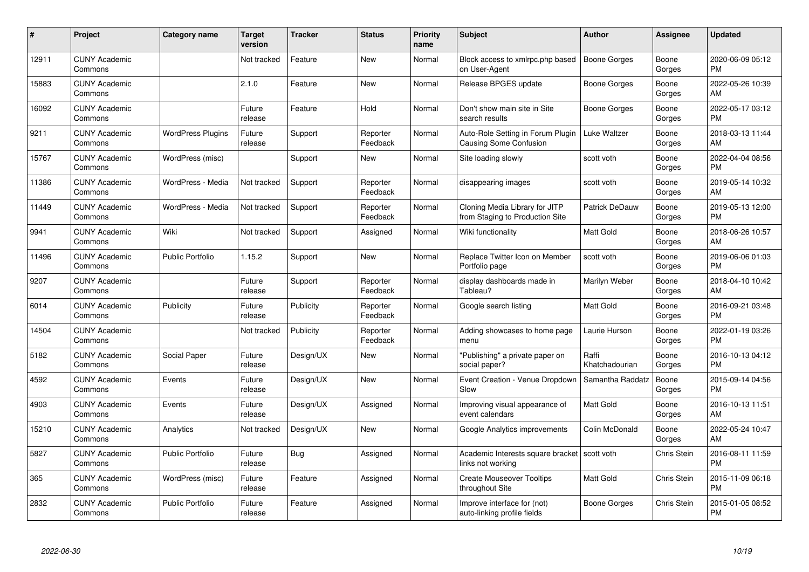| #     | Project                         | <b>Category name</b>     | Target<br>version | <b>Tracker</b> | <b>Status</b>        | <b>Priority</b><br>name | <b>Subject</b>                                                      | <b>Author</b>           | Assignee           | <b>Updated</b>                |
|-------|---------------------------------|--------------------------|-------------------|----------------|----------------------|-------------------------|---------------------------------------------------------------------|-------------------------|--------------------|-------------------------------|
| 12911 | <b>CUNY Academic</b><br>Commons |                          | Not tracked       | Feature        | <b>New</b>           | Normal                  | Block access to xmlrpc.php based<br>on User-Agent                   | <b>Boone Gorges</b>     | Boone<br>Gorges    | 2020-06-09 05:12<br><b>PM</b> |
| 15883 | <b>CUNY Academic</b><br>Commons |                          | 2.1.0             | Feature        | <b>New</b>           | Normal                  | Release BPGES update                                                | Boone Gorges            | Boone<br>Gorges    | 2022-05-26 10:39<br>AM        |
| 16092 | <b>CUNY Academic</b><br>Commons |                          | Future<br>release | Feature        | Hold                 | Normal                  | Don't show main site in Site<br>search results                      | Boone Gorges            | Boone<br>Gorges    | 2022-05-17 03:12<br><b>PM</b> |
| 9211  | <b>CUNY Academic</b><br>Commons | <b>WordPress Plugins</b> | Future<br>release | Support        | Reporter<br>Feedback | Normal                  | Auto-Role Setting in Forum Plugin<br>Causing Some Confusion         | Luke Waltzer            | Boone<br>Gorges    | 2018-03-13 11:44<br>AM        |
| 15767 | <b>CUNY Academic</b><br>Commons | WordPress (misc)         |                   | Support        | New                  | Normal                  | Site loading slowly                                                 | scott voth              | Boone<br>Gorges    | 2022-04-04 08:56<br><b>PM</b> |
| 11386 | <b>CUNY Academic</b><br>Commons | WordPress - Media        | Not tracked       | Support        | Reporter<br>Feedback | Normal                  | disappearing images                                                 | scott voth              | Boone<br>Gorges    | 2019-05-14 10:32<br>AM        |
| 11449 | <b>CUNY Academic</b><br>Commons | WordPress - Media        | Not tracked       | Support        | Reporter<br>Feedback | Normal                  | Cloning Media Library for JITP<br>from Staging to Production Site   | Patrick DeDauw          | Boone<br>Gorges    | 2019-05-13 12:00<br><b>PM</b> |
| 9941  | <b>CUNY Academic</b><br>Commons | Wiki                     | Not tracked       | Support        | Assigned             | Normal                  | Wiki functionality                                                  | <b>Matt Gold</b>        | Boone<br>Gorges    | 2018-06-26 10:57<br>AM        |
| 11496 | <b>CUNY Academic</b><br>Commons | <b>Public Portfolio</b>  | 1.15.2            | Support        | New                  | Normal                  | Replace Twitter Icon on Member<br>Portfolio page                    | scott voth              | Boone<br>Gorges    | 2019-06-06 01:03<br><b>PM</b> |
| 9207  | <b>CUNY Academic</b><br>Commons |                          | Future<br>release | Support        | Reporter<br>Feedback | Normal                  | display dashboards made in<br>Tableau?                              | Marilyn Weber           | Boone<br>Gorges    | 2018-04-10 10:42<br>AM        |
| 6014  | <b>CUNY Academic</b><br>Commons | Publicity                | Future<br>release | Publicity      | Reporter<br>Feedback | Normal                  | Google search listing                                               | <b>Matt Gold</b>        | Boone<br>Gorges    | 2016-09-21 03:48<br><b>PM</b> |
| 14504 | <b>CUNY Academic</b><br>Commons |                          | Not tracked       | Publicity      | Reporter<br>Feedback | Normal                  | Adding showcases to home page<br>menu                               | Laurie Hurson           | Boone<br>Gorges    | 2022-01-19 03:26<br><b>PM</b> |
| 5182  | <b>CUNY Academic</b><br>Commons | Social Paper             | Future<br>release | Design/UX      | New                  | Normal                  | "Publishing" a private paper on<br>social paper?                    | Raffi<br>Khatchadourian | Boone<br>Gorges    | 2016-10-13 04:12<br>PM        |
| 4592  | <b>CUNY Academic</b><br>Commons | Events                   | Future<br>release | Design/UX      | New                  | Normal                  | Event Creation - Venue Dropdown<br>Slow                             | Samantha Raddatz        | Boone<br>Gorges    | 2015-09-14 04:56<br><b>PM</b> |
| 4903  | <b>CUNY Academic</b><br>Commons | Events                   | Future<br>release | Design/UX      | Assigned             | Normal                  | Improving visual appearance of<br>event calendars                   | <b>Matt Gold</b>        | Boone<br>Gorges    | 2016-10-13 11:51<br>AM        |
| 15210 | <b>CUNY Academic</b><br>Commons | Analytics                | Not tracked       | Design/UX      | <b>New</b>           | Normal                  | Google Analytics improvements                                       | Colin McDonald          | Boone<br>Gorges    | 2022-05-24 10:47<br>AM        |
| 5827  | <b>CUNY Academic</b><br>Commons | <b>Public Portfolio</b>  | Future<br>release | Bug            | Assigned             | Normal                  | Academic Interests square bracket   scott voth<br>links not working |                         | <b>Chris Stein</b> | 2016-08-11 11:59<br><b>PM</b> |
| 365   | <b>CUNY Academic</b><br>Commons | WordPress (misc)         | Future<br>release | Feature        | Assigned             | Normal                  | <b>Create Mouseover Tooltips</b><br>throughout Site                 | Matt Gold               | Chris Stein        | 2015-11-09 06:18<br><b>PM</b> |
| 2832  | <b>CUNY Academic</b><br>Commons | <b>Public Portfolio</b>  | Future<br>release | Feature        | Assigned             | Normal                  | Improve interface for (not)<br>auto-linking profile fields          | Boone Gorges            | <b>Chris Stein</b> | 2015-01-05 08:52<br>PM        |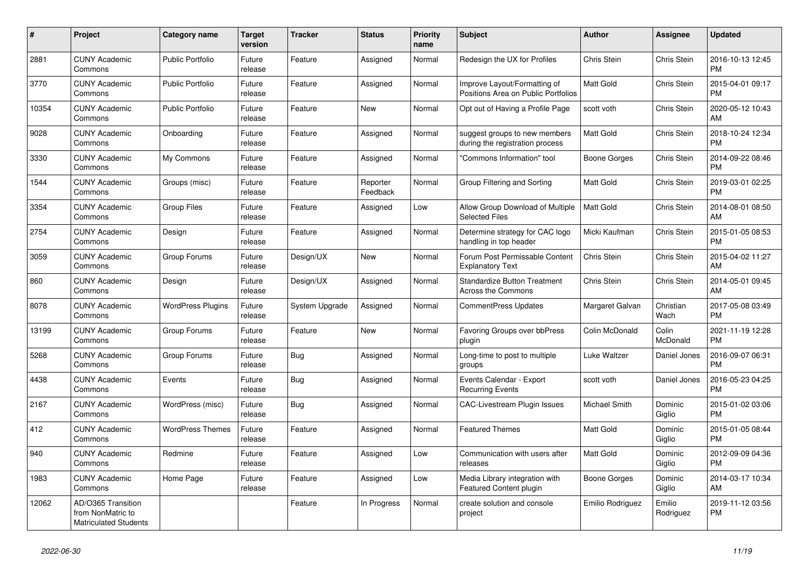| #     | Project                                                                 | <b>Category name</b>     | <b>Target</b><br>version | <b>Tracker</b> | <b>Status</b>        | <b>Priority</b><br>name | <b>Subject</b>                                                      | <b>Author</b>    | Assignee            | <b>Updated</b>                |
|-------|-------------------------------------------------------------------------|--------------------------|--------------------------|----------------|----------------------|-------------------------|---------------------------------------------------------------------|------------------|---------------------|-------------------------------|
| 2881  | <b>CUNY Academic</b><br>Commons                                         | <b>Public Portfolio</b>  | Future<br>release        | Feature        | Assigned             | Normal                  | Redesign the UX for Profiles                                        | Chris Stein      | Chris Stein         | 2016-10-13 12:45<br><b>PM</b> |
| 3770  | <b>CUNY Academic</b><br>Commons                                         | <b>Public Portfolio</b>  | Future<br>release        | Feature        | Assigned             | Normal                  | Improve Layout/Formatting of<br>Positions Area on Public Portfolios | <b>Matt Gold</b> | Chris Stein         | 2015-04-01 09:17<br><b>PM</b> |
| 10354 | <b>CUNY Academic</b><br>Commons                                         | <b>Public Portfolio</b>  | Future<br>release        | Feature        | New                  | Normal                  | Opt out of Having a Profile Page                                    | scott voth       | Chris Stein         | 2020-05-12 10:43<br>AM        |
| 9028  | <b>CUNY Academic</b><br>Commons                                         | Onboarding               | Future<br>release        | Feature        | Assigned             | Normal                  | suggest groups to new members<br>during the registration process    | <b>Matt Gold</b> | Chris Stein         | 2018-10-24 12:34<br><b>PM</b> |
| 3330  | <b>CUNY Academic</b><br>Commons                                         | My Commons               | Future<br>release        | Feature        | Assigned             | Normal                  | "Commons Information" tool                                          | Boone Gorges     | Chris Stein         | 2014-09-22 08:46<br><b>PM</b> |
| 1544  | <b>CUNY Academic</b><br>Commons                                         | Groups (misc)            | Future<br>release        | Feature        | Reporter<br>Feedback | Normal                  | Group Filtering and Sorting                                         | Matt Gold        | Chris Stein         | 2019-03-01 02:25<br><b>PM</b> |
| 3354  | <b>CUNY Academic</b><br>Commons                                         | <b>Group Files</b>       | Future<br>release        | Feature        | Assigned             | Low                     | Allow Group Download of Multiple<br><b>Selected Files</b>           | <b>Matt Gold</b> | Chris Stein         | 2014-08-01 08:50<br>AM        |
| 2754  | <b>CUNY Academic</b><br>Commons                                         | Design                   | Future<br>release        | Feature        | Assigned             | Normal                  | Determine strategy for CAC logo<br>handling in top header           | Micki Kaufman    | Chris Stein         | 2015-01-05 08:53<br><b>PM</b> |
| 3059  | <b>CUNY Academic</b><br>Commons                                         | Group Forums             | Future<br>release        | Design/UX      | New                  | Normal                  | Forum Post Permissable Content<br><b>Explanatory Text</b>           | Chris Stein      | Chris Stein         | 2015-04-02 11:27<br>AM        |
| 860   | <b>CUNY Academic</b><br>Commons                                         | Design                   | Future<br>release        | Design/UX      | Assigned             | Normal                  | <b>Standardize Button Treatment</b><br><b>Across the Commons</b>    | Chris Stein      | Chris Stein         | 2014-05-01 09:45<br>AM        |
| 8078  | <b>CUNY Academic</b><br>Commons                                         | <b>WordPress Plugins</b> | Future<br>release        | System Upgrade | Assigned             | Normal                  | <b>CommentPress Updates</b>                                         | Margaret Galvan  | Christian<br>Wach   | 2017-05-08 03:49<br><b>PM</b> |
| 13199 | <b>CUNY Academic</b><br>Commons                                         | Group Forums             | Future<br>release        | Feature        | New                  | Normal                  | Favoring Groups over bbPress<br>plugin                              | Colin McDonald   | Colin<br>McDonald   | 2021-11-19 12:28<br><b>PM</b> |
| 5268  | <b>CUNY Academic</b><br>Commons                                         | Group Forums             | Future<br>release        | <b>Bug</b>     | Assigned             | Normal                  | Long-time to post to multiple<br>groups                             | Luke Waltzer     | Daniel Jones        | 2016-09-07 06:31<br><b>PM</b> |
| 4438  | <b>CUNY Academic</b><br>Commons                                         | Events                   | Future<br>release        | Bug            | Assigned             | Normal                  | Events Calendar - Export<br><b>Recurring Events</b>                 | scott voth       | Daniel Jones        | 2016-05-23 04:25<br><b>PM</b> |
| 2167  | <b>CUNY Academic</b><br>Commons                                         | WordPress (misc)         | Future<br>release        | Bug            | Assigned             | Normal                  | CAC-Livestream Plugin Issues                                        | Michael Smith    | Dominic<br>Giglio   | 2015-01-02 03:06<br><b>PM</b> |
| 412   | <b>CUNY Academic</b><br>Commons                                         | <b>WordPress Themes</b>  | Future<br>release        | Feature        | Assigned             | Normal                  | <b>Featured Themes</b>                                              | <b>Matt Gold</b> | Dominic<br>Giglio   | 2015-01-05 08:44<br><b>PM</b> |
| 940   | <b>CUNY Academic</b><br>Commons                                         | Redmine                  | Future<br>release        | Feature        | Assigned             | Low                     | Communication with users after<br>releases                          | Matt Gold        | Dominic<br>Giglio   | 2012-09-09 04:36<br><b>PM</b> |
| 1983  | <b>CUNY Academic</b><br>Commons                                         | Home Page                | Future<br>release        | Feature        | Assigned             | Low                     | Media Library integration with<br><b>Featured Content plugin</b>    | Boone Gorges     | Dominic<br>Giglio   | 2014-03-17 10:34<br>AM        |
| 12062 | AD/O365 Transition<br>from NonMatric to<br><b>Matriculated Students</b> |                          |                          | Feature        | In Progress          | Normal                  | create solution and console<br>project                              | Emilio Rodriguez | Emilio<br>Rodriguez | 2019-11-12 03:56<br><b>PM</b> |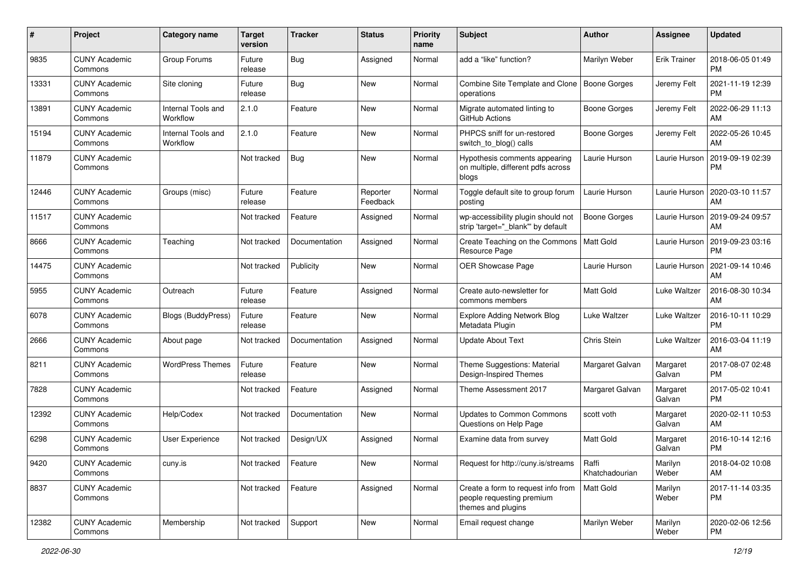| #     | Project                         | Category name                  | <b>Target</b><br>version | <b>Tracker</b> | <b>Status</b>        | <b>Priority</b><br>name | <b>Subject</b>                                                                        | Author                  | <b>Assignee</b>     | <b>Updated</b>                |
|-------|---------------------------------|--------------------------------|--------------------------|----------------|----------------------|-------------------------|---------------------------------------------------------------------------------------|-------------------------|---------------------|-------------------------------|
| 9835  | <b>CUNY Academic</b><br>Commons | Group Forums                   | Future<br>release        | Bug            | Assigned             | Normal                  | add a "like" function?                                                                | Marilyn Weber           | <b>Erik Trainer</b> | 2018-06-05 01:49<br><b>PM</b> |
| 13331 | <b>CUNY Academic</b><br>Commons | Site cloning                   | Future<br>release        | Bug            | New                  | Normal                  | Combine Site Template and Clone<br>operations                                         | Boone Gorges            | Jeremy Felt         | 2021-11-19 12:39<br><b>PM</b> |
| 13891 | <b>CUNY Academic</b><br>Commons | Internal Tools and<br>Workflow | 2.1.0                    | Feature        | New                  | Normal                  | Migrate automated linting to<br>GitHub Actions                                        | <b>Boone Gorges</b>     | Jeremy Felt         | 2022-06-29 11:13<br>AM        |
| 15194 | <b>CUNY Academic</b><br>Commons | Internal Tools and<br>Workflow | 2.1.0                    | Feature        | <b>New</b>           | Normal                  | PHPCS sniff for un-restored<br>switch_to_blog() calls                                 | Boone Gorges            | Jeremy Felt         | 2022-05-26 10:45<br>AM        |
| 11879 | <b>CUNY Academic</b><br>Commons |                                | Not tracked              | Bug            | New                  | Normal                  | Hypothesis comments appearing<br>on multiple, different pdfs across<br>blogs          | Laurie Hurson           | Laurie Hurson       | 2019-09-19 02:39<br><b>PM</b> |
| 12446 | <b>CUNY Academic</b><br>Commons | Groups (misc)                  | Future<br>release        | Feature        | Reporter<br>Feedback | Normal                  | Toggle default site to group forum<br>posting                                         | Laurie Hurson           | Laurie Hurson       | 2020-03-10 11:57<br>AM        |
| 11517 | <b>CUNY Academic</b><br>Commons |                                | Not tracked              | Feature        | Assigned             | Normal                  | wp-accessibility plugin should not<br>strip 'target=" blank" by default               | <b>Boone Gorges</b>     | Laurie Hurson       | 2019-09-24 09:57<br>AM        |
| 8666  | <b>CUNY Academic</b><br>Commons | Teaching                       | Not tracked              | Documentation  | Assigned             | Normal                  | Create Teaching on the Commons<br>Resource Page                                       | <b>Matt Gold</b>        | Laurie Hurson       | 2019-09-23 03:16<br><b>PM</b> |
| 14475 | <b>CUNY Academic</b><br>Commons |                                | Not tracked              | Publicity      | <b>New</b>           | Normal                  | OER Showcase Page                                                                     | Laurie Hurson           | Laurie Hurson       | 2021-09-14 10:46<br>AM        |
| 5955  | <b>CUNY Academic</b><br>Commons | Outreach                       | Future<br>release        | Feature        | Assigned             | Normal                  | Create auto-newsletter for<br>commons members                                         | <b>Matt Gold</b>        | <b>Luke Waltzer</b> | 2016-08-30 10:34<br>AM        |
| 6078  | <b>CUNY Academic</b><br>Commons | Blogs (BuddyPress)             | Future<br>release        | Feature        | <b>New</b>           | Normal                  | <b>Explore Adding Network Blog</b><br>Metadata Plugin                                 | Luke Waltzer            | Luke Waltzer        | 2016-10-11 10:29<br><b>PM</b> |
| 2666  | <b>CUNY Academic</b><br>Commons | About page                     | Not tracked              | Documentation  | Assigned             | Normal                  | <b>Update About Text</b>                                                              | Chris Stein             | Luke Waltzer        | 2016-03-04 11:19<br>AM        |
| 8211  | <b>CUNY Academic</b><br>Commons | <b>WordPress Themes</b>        | Future<br>release        | Feature        | <b>New</b>           | Normal                  | Theme Suggestions: Material<br>Design-Inspired Themes                                 | Margaret Galvan         | Margaret<br>Galvan  | 2017-08-07 02:48<br><b>PM</b> |
| 7828  | <b>CUNY Academic</b><br>Commons |                                | Not tracked              | Feature        | Assigned             | Normal                  | Theme Assessment 2017                                                                 | Margaret Galvan         | Margaret<br>Galvan  | 2017-05-02 10:41<br><b>PM</b> |
| 12392 | <b>CUNY Academic</b><br>Commons | Help/Codex                     | Not tracked              | Documentation  | <b>New</b>           | Normal                  | <b>Updates to Common Commons</b><br>Questions on Help Page                            | scott voth              | Margaret<br>Galvan  | 2020-02-11 10:53<br>AM        |
| 6298  | <b>CUNY Academic</b><br>Commons | User Experience                | Not tracked              | Design/UX      | Assigned             | Normal                  | Examine data from survey                                                              | <b>Matt Gold</b>        | Margaret<br>Galvan  | 2016-10-14 12:16<br><b>PM</b> |
| 9420  | <b>CUNY Academic</b><br>Commons | cuny.is                        | Not tracked              | Feature        | New                  | Normal                  | Request for http://cuny.is/streams                                                    | Raffi<br>Khatchadourian | Marilyn<br>Weber    | 2018-04-02 10:08<br>AM        |
| 8837  | <b>CUNY Academic</b><br>Commons |                                | Not tracked              | Feature        | Assigned             | Normal                  | Create a form to request info from<br>people requesting premium<br>themes and plugins | Matt Gold               | Marilyn<br>Weber    | 2017-11-14 03:35<br><b>PM</b> |
| 12382 | <b>CUNY Academic</b><br>Commons | Membership                     | Not tracked              | Support        | New                  | Normal                  | Email request change                                                                  | Marilyn Weber           | Marilyn<br>Weber    | 2020-02-06 12:56<br><b>PM</b> |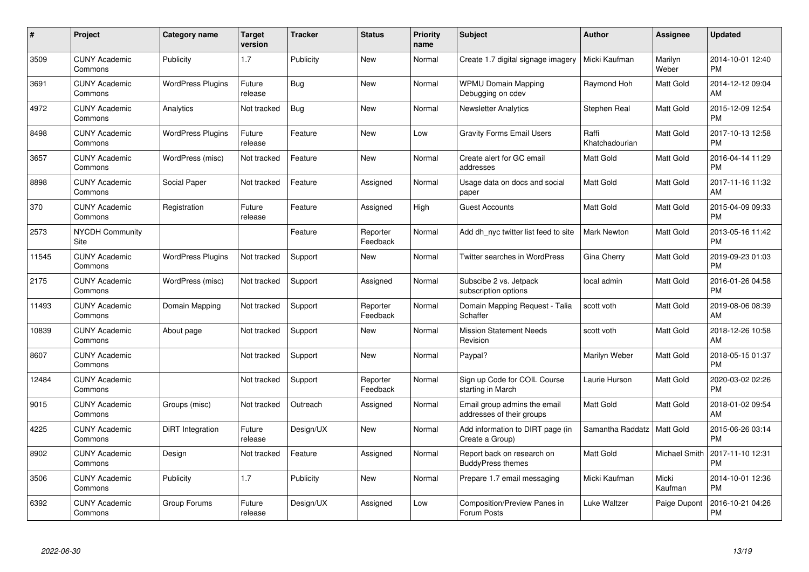| $\#$  | Project                               | <b>Category name</b>     | <b>Target</b><br>version | <b>Tracker</b> | <b>Status</b>        | Priority<br>name | <b>Subject</b>                                            | <b>Author</b>           | <b>Assignee</b>  | <b>Updated</b>                |
|-------|---------------------------------------|--------------------------|--------------------------|----------------|----------------------|------------------|-----------------------------------------------------------|-------------------------|------------------|-------------------------------|
| 3509  | <b>CUNY Academic</b><br>Commons       | Publicity                | 1.7                      | Publicity      | <b>New</b>           | Normal           | Create 1.7 digital signage imagery                        | Micki Kaufman           | Marilyn<br>Weber | 2014-10-01 12:40<br><b>PM</b> |
| 3691  | <b>CUNY Academic</b><br>Commons       | <b>WordPress Plugins</b> | Future<br>release        | Bug            | <b>New</b>           | Normal           | <b>WPMU Domain Mapping</b><br>Debugging on cdev           | Raymond Hoh             | Matt Gold        | 2014-12-12 09:04<br>AM        |
| 4972  | <b>CUNY Academic</b><br>Commons       | Analytics                | Not tracked              | Bug            | <b>New</b>           | Normal           | <b>Newsletter Analytics</b>                               | Stephen Real            | Matt Gold        | 2015-12-09 12:54<br><b>PM</b> |
| 8498  | <b>CUNY Academic</b><br>Commons       | <b>WordPress Plugins</b> | Future<br>release        | Feature        | <b>New</b>           | Low              | <b>Gravity Forms Email Users</b>                          | Raffi<br>Khatchadourian | Matt Gold        | 2017-10-13 12:58<br><b>PM</b> |
| 3657  | <b>CUNY Academic</b><br>Commons       | WordPress (misc)         | Not tracked              | Feature        | <b>New</b>           | Normal           | Create alert for GC email<br>addresses                    | <b>Matt Gold</b>        | Matt Gold        | 2016-04-14 11:29<br><b>PM</b> |
| 8898  | <b>CUNY Academic</b><br>Commons       | Social Paper             | Not tracked              | Feature        | Assigned             | Normal           | Usage data on docs and social<br>paper                    | <b>Matt Gold</b>        | Matt Gold        | 2017-11-16 11:32<br>AM        |
| 370   | <b>CUNY Academic</b><br>Commons       | Registration             | Future<br>release        | Feature        | Assigned             | High             | <b>Guest Accounts</b>                                     | Matt Gold               | Matt Gold        | 2015-04-09 09:33<br><b>PM</b> |
| 2573  | <b>NYCDH Community</b><br><b>Site</b> |                          |                          | Feature        | Reporter<br>Feedback | Normal           | Add dh nyc twitter list feed to site                      | <b>Mark Newton</b>      | Matt Gold        | 2013-05-16 11:42<br><b>PM</b> |
| 11545 | <b>CUNY Academic</b><br>Commons       | <b>WordPress Plugins</b> | Not tracked              | Support        | New                  | Normal           | <b>Twitter searches in WordPress</b>                      | Gina Cherry             | Matt Gold        | 2019-09-23 01:03<br><b>PM</b> |
| 2175  | <b>CUNY Academic</b><br>Commons       | WordPress (misc)         | Not tracked              | Support        | Assigned             | Normal           | Subscibe 2 vs. Jetpack<br>subscription options            | local admin             | Matt Gold        | 2016-01-26 04:58<br><b>PM</b> |
| 11493 | <b>CUNY Academic</b><br>Commons       | Domain Mapping           | Not tracked              | Support        | Reporter<br>Feedback | Normal           | Domain Mapping Request - Talia<br>Schaffer                | scott voth              | Matt Gold        | 2019-08-06 08:39<br>AM        |
| 10839 | <b>CUNY Academic</b><br>Commons       | About page               | Not tracked              | Support        | <b>New</b>           | Normal           | <b>Mission Statement Needs</b><br>Revision                | scott voth              | Matt Gold        | 2018-12-26 10:58<br>AM        |
| 8607  | <b>CUNY Academic</b><br>Commons       |                          | Not tracked              | Support        | <b>New</b>           | Normal           | Paypal?                                                   | Marilyn Weber           | Matt Gold        | 2018-05-15 01:37<br><b>PM</b> |
| 12484 | <b>CUNY Academic</b><br>Commons       |                          | Not tracked              | Support        | Reporter<br>Feedback | Normal           | Sign up Code for COIL Course<br>starting in March         | Laurie Hurson           | Matt Gold        | 2020-03-02 02:26<br><b>PM</b> |
| 9015  | <b>CUNY Academic</b><br>Commons       | Groups (misc)            | Not tracked              | Outreach       | Assigned             | Normal           | Email group admins the email<br>addresses of their groups | Matt Gold               | Matt Gold        | 2018-01-02 09:54<br>AM        |
| 4225  | <b>CUNY Academic</b><br>Commons       | DiRT Integration         | Future<br>release        | Design/UX      | <b>New</b>           | Normal           | Add information to DIRT page (in<br>Create a Group)       | Samantha Raddatz        | <b>Matt Gold</b> | 2015-06-26 03:14<br><b>PM</b> |
| 8902  | <b>CUNY Academic</b><br>Commons       | Design                   | Not tracked              | Feature        | Assigned             | Normal           | Report back on research on<br><b>BuddyPress themes</b>    | Matt Gold               | Michael Smith    | 2017-11-10 12:31<br><b>PM</b> |
| 3506  | <b>CUNY Academic</b><br>Commons       | Publicity                | 1.7                      | Publicity      | <b>New</b>           | Normal           | Prepare 1.7 email messaging                               | Micki Kaufman           | Micki<br>Kaufman | 2014-10-01 12:36<br><b>PM</b> |
| 6392  | <b>CUNY Academic</b><br>Commons       | Group Forums             | Future<br>release        | Design/UX      | Assigned             | Low              | Composition/Preview Panes in<br>Forum Posts               | Luke Waltzer            | Paige Dupont     | 2016-10-21 04:26<br><b>PM</b> |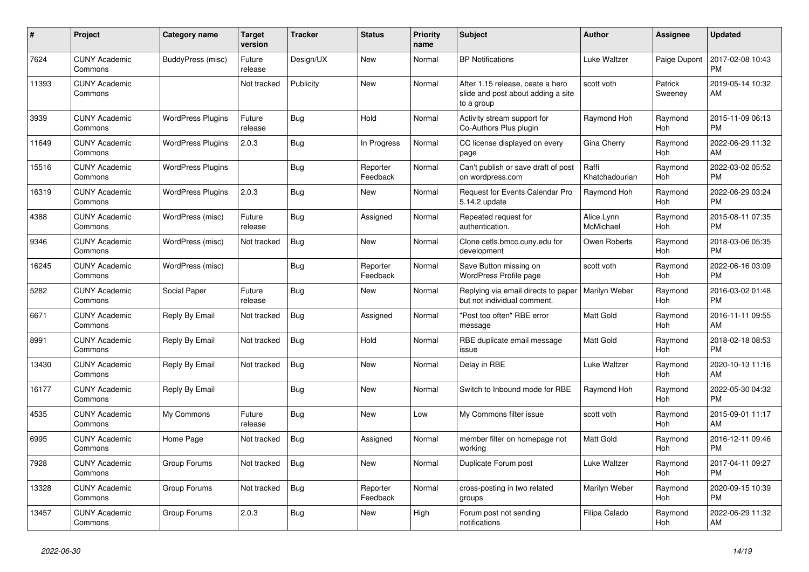| #     | <b>Project</b>                  | Category name            | <b>Target</b><br>version | <b>Tracker</b> | <b>Status</b>        | Priority<br>name | <b>Subject</b>                                                                       | <b>Author</b>           | Assignee           | <b>Updated</b>                |
|-------|---------------------------------|--------------------------|--------------------------|----------------|----------------------|------------------|--------------------------------------------------------------------------------------|-------------------------|--------------------|-------------------------------|
| 7624  | <b>CUNY Academic</b><br>Commons | BuddyPress (misc)        | Future<br>release        | Design/UX      | <b>New</b>           | Normal           | <b>BP</b> Notifications                                                              | Luke Waltzer            | Paige Dupont       | 2017-02-08 10:43<br><b>PM</b> |
| 11393 | <b>CUNY Academic</b><br>Commons |                          | Not tracked              | Publicity      | New                  | Normal           | After 1.15 release, ceate a hero<br>slide and post about adding a site<br>to a group | scott voth              | Patrick<br>Sweeney | 2019-05-14 10:32<br>AM        |
| 3939  | <b>CUNY Academic</b><br>Commons | <b>WordPress Plugins</b> | Future<br>release        | <b>Bug</b>     | Hold                 | Normal           | Activity stream support for<br>Co-Authors Plus plugin                                | Raymond Hoh             | Raymond<br>Hoh     | 2015-11-09 06:13<br><b>PM</b> |
| 11649 | <b>CUNY Academic</b><br>Commons | <b>WordPress Plugins</b> | 2.0.3                    | Bug            | In Progress          | Normal           | CC license displayed on every<br>page                                                | Gina Cherry             | Raymond<br>Hoh     | 2022-06-29 11:32<br>AM        |
| 15516 | <b>CUNY Academic</b><br>Commons | <b>WordPress Plugins</b> |                          | <b>Bug</b>     | Reporter<br>Feedback | Normal           | Can't publish or save draft of post<br>on wordpress.com                              | Raffi<br>Khatchadourian | Raymond<br>Hoh     | 2022-03-02 05:52<br><b>PM</b> |
| 16319 | <b>CUNY Academic</b><br>Commons | <b>WordPress Plugins</b> | 2.0.3                    | Bug            | <b>New</b>           | Normal           | Request for Events Calendar Pro<br>5.14.2 update                                     | Raymond Hoh             | Raymond<br>Hoh     | 2022-06-29 03:24<br><b>PM</b> |
| 4388  | <b>CUNY Academic</b><br>Commons | WordPress (misc)         | Future<br>release        | Bug            | Assigned             | Normal           | Repeated request for<br>authentication.                                              | Alice.Lynn<br>McMichael | Raymond<br>Hoh     | 2015-08-11 07:35<br><b>PM</b> |
| 9346  | <b>CUNY Academic</b><br>Commons | WordPress (misc)         | Not tracked              | Bug            | <b>New</b>           | Normal           | Clone cetls.bmcc.cuny.edu for<br>development                                         | Owen Roberts            | Raymond<br>Hoh     | 2018-03-06 05:35<br><b>PM</b> |
| 16245 | <b>CUNY Academic</b><br>Commons | WordPress (misc)         |                          | Bug            | Reporter<br>Feedback | Normal           | Save Button missing on<br>WordPress Profile page                                     | scott voth              | Raymond<br>Hoh     | 2022-06-16 03:09<br><b>PM</b> |
| 5282  | <b>CUNY Academic</b><br>Commons | Social Paper             | Future<br>release        | Bug            | New                  | Normal           | Replying via email directs to paper<br>but not individual comment.                   | Marilyn Weber           | Raymond<br>Hoh     | 2016-03-02 01:48<br><b>PM</b> |
| 6671  | <b>CUNY Academic</b><br>Commons | Reply By Email           | Not tracked              | Bug            | Assigned             | Normal           | "Post too often" RBE error<br>message                                                | <b>Matt Gold</b>        | Raymond<br>Hoh     | 2016-11-11 09:55<br>AM        |
| 8991  | <b>CUNY Academic</b><br>Commons | Reply By Email           | Not tracked              | Bug            | Hold                 | Normal           | RBE duplicate email message<br>issue                                                 | <b>Matt Gold</b>        | Raymond<br>Hoh     | 2018-02-18 08:53<br><b>PM</b> |
| 13430 | <b>CUNY Academic</b><br>Commons | Reply By Email           | Not tracked              | Bug            | <b>New</b>           | Normal           | Delay in RBE                                                                         | Luke Waltzer            | Raymond<br>Hoh     | 2020-10-13 11:16<br>AM        |
| 16177 | <b>CUNY Academic</b><br>Commons | Reply By Email           |                          | Bug            | New                  | Normal           | Switch to Inbound mode for RBE                                                       | Raymond Hoh             | Raymond<br>Hoh     | 2022-05-30 04:32<br><b>PM</b> |
| 4535  | <b>CUNY Academic</b><br>Commons | My Commons               | Future<br>release        | Bug            | <b>New</b>           | Low              | My Commons filter issue                                                              | scott voth              | Raymond<br>Hoh     | 2015-09-01 11:17<br>AM        |
| 6995  | <b>CUNY Academic</b><br>Commons | Home Page                | Not tracked              | Bug            | Assigned             | Normal           | member filter on homepage not<br>working                                             | <b>Matt Gold</b>        | Raymond<br>Hoh     | 2016-12-11 09:46<br><b>PM</b> |
| 7928  | <b>CUNY Academic</b><br>Commons | Group Forums             | Not tracked              | <b>Bug</b>     | <b>New</b>           | Normal           | Duplicate Forum post                                                                 | Luke Waltzer            | Raymond<br>Hoh     | 2017-04-11 09:27<br><b>PM</b> |
| 13328 | <b>CUNY Academic</b><br>Commons | Group Forums             | Not tracked              | Bug            | Reporter<br>Feedback | Normal           | cross-posting in two related<br>groups                                               | Marilyn Weber           | Raymond<br>Hoh     | 2020-09-15 10:39<br><b>PM</b> |
| 13457 | <b>CUNY Academic</b><br>Commons | Group Forums             | 2.0.3                    | Bug            | <b>New</b>           | High             | Forum post not sending<br>notifications                                              | Filipa Calado           | Raymond<br>Hoh     | 2022-06-29 11:32<br>AM        |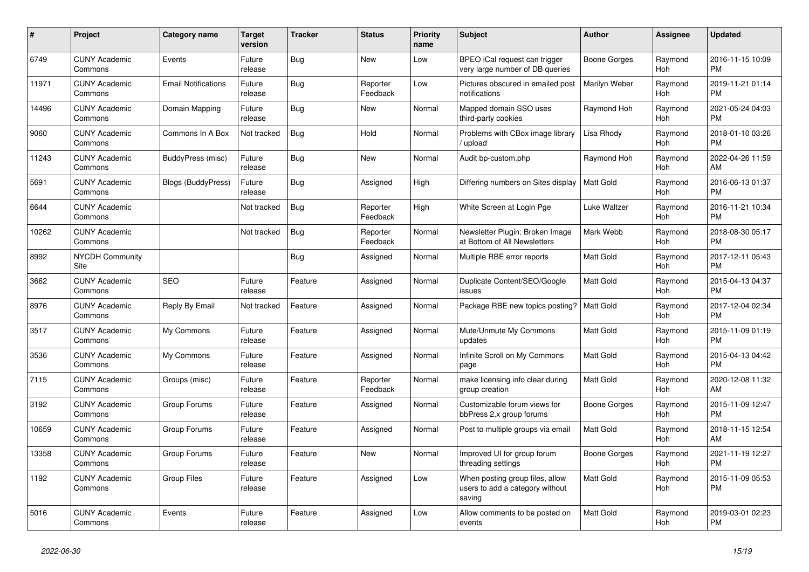| #     | <b>Project</b>                  | Category name              | <b>Target</b><br>version | <b>Tracker</b> | <b>Status</b>        | Priority<br>name | <b>Subject</b>                                                               | <b>Author</b>    | Assignee              | <b>Updated</b>                |
|-------|---------------------------------|----------------------------|--------------------------|----------------|----------------------|------------------|------------------------------------------------------------------------------|------------------|-----------------------|-------------------------------|
| 6749  | <b>CUNY Academic</b><br>Commons | Events                     | Future<br>release        | Bug            | New                  | Low              | BPEO iCal request can trigger<br>very large number of DB queries             | Boone Gorges     | Raymond<br>Hoh        | 2016-11-15 10:09<br><b>PM</b> |
| 11971 | <b>CUNY Academic</b><br>Commons | <b>Email Notifications</b> | Future<br>release        | Bug            | Reporter<br>Feedback | Low              | Pictures obscured in emailed post<br>notifications                           | Marilyn Weber    | Raymond<br><b>Hoh</b> | 2019-11-21 01:14<br><b>PM</b> |
| 14496 | <b>CUNY Academic</b><br>Commons | Domain Mapping             | Future<br>release        | Bug            | New                  | Normal           | Mapped domain SSO uses<br>third-party cookies                                | Raymond Hoh      | Raymond<br>Hoh        | 2021-05-24 04:03<br><b>PM</b> |
| 9060  | <b>CUNY Academic</b><br>Commons | Commons In A Box           | Not tracked              | <b>Bug</b>     | Hold                 | Normal           | Problems with CBox image library<br>/ upload                                 | Lisa Rhody       | Raymond<br>Hoh        | 2018-01-10 03:26<br><b>PM</b> |
| 11243 | <b>CUNY Academic</b><br>Commons | BuddyPress (misc)          | Future<br>release        | Bug            | New                  | Normal           | Audit bp-custom.php                                                          | Raymond Hoh      | Raymond<br>Hoh        | 2022-04-26 11:59<br>AM        |
| 5691  | <b>CUNY Academic</b><br>Commons | Blogs (BuddyPress)         | Future<br>release        | Bug            | Assigned             | High             | Differing numbers on Sites display                                           | <b>Matt Gold</b> | Raymond<br>Hoh        | 2016-06-13 01:37<br><b>PM</b> |
| 6644  | <b>CUNY Academic</b><br>Commons |                            | Not tracked              | Bug            | Reporter<br>Feedback | High             | White Screen at Login Pge                                                    | Luke Waltzer     | Raymond<br>Hoh        | 2016-11-21 10:34<br><b>PM</b> |
| 10262 | <b>CUNY Academic</b><br>Commons |                            | Not tracked              | Bug            | Reporter<br>Feedback | Normal           | Newsletter Plugin: Broken Image<br>at Bottom of All Newsletters              | Mark Webb        | Raymond<br>Hoh        | 2018-08-30 05:17<br><b>PM</b> |
| 8992  | <b>NYCDH Community</b><br>Site  |                            |                          | Bug            | Assigned             | Normal           | Multiple RBE error reports                                                   | Matt Gold        | Raymond<br>Hoh        | 2017-12-11 05:43<br><b>PM</b> |
| 3662  | <b>CUNY Academic</b><br>Commons | <b>SEO</b>                 | Future<br>release        | Feature        | Assigned             | Normal           | Duplicate Content/SEO/Google<br>issues                                       | <b>Matt Gold</b> | Raymond<br>Hoh        | 2015-04-13 04:37<br><b>PM</b> |
| 8976  | <b>CUNY Academic</b><br>Commons | Reply By Email             | Not tracked              | Feature        | Assigned             | Normal           | Package RBE new topics posting?                                              | <b>Matt Gold</b> | Raymond<br>Hoh        | 2017-12-04 02:34<br><b>PM</b> |
| 3517  | <b>CUNY Academic</b><br>Commons | My Commons                 | Future<br>release        | Feature        | Assigned             | Normal           | Mute/Unmute My Commons<br>updates                                            | <b>Matt Gold</b> | Raymond<br>Hoh        | 2015-11-09 01:19<br><b>PM</b> |
| 3536  | <b>CUNY Academic</b><br>Commons | My Commons                 | Future<br>release        | Feature        | Assigned             | Normal           | Infinite Scroll on My Commons<br>page                                        | <b>Matt Gold</b> | Raymond<br>Hoh        | 2015-04-13 04:42<br><b>PM</b> |
| 7115  | <b>CUNY Academic</b><br>Commons | Groups (misc)              | Future<br>release        | Feature        | Reporter<br>Feedback | Normal           | make licensing info clear during<br>group creation                           | <b>Matt Gold</b> | Raymond<br>Hoh        | 2020-12-08 11:32<br>AM        |
| 3192  | <b>CUNY Academic</b><br>Commons | Group Forums               | Future<br>release        | Feature        | Assigned             | Normal           | Customizable forum views for<br>bbPress 2.x group forums                     | Boone Gorges     | Raymond<br>Hoh        | 2015-11-09 12:47<br><b>PM</b> |
| 10659 | <b>CUNY Academic</b><br>Commons | Group Forums               | Future<br>release        | Feature        | Assigned             | Normal           | Post to multiple groups via email                                            | <b>Matt Gold</b> | Raymond<br>Hoh        | 2018-11-15 12:54<br>AM        |
| 13358 | <b>CUNY Academic</b><br>Commons | Group Forums               | Future<br>release        | Feature        | <b>New</b>           | Normal           | Improved UI for group forum<br>threading settings                            | Boone Gorges     | Raymond<br>Hoh        | 2021-11-19 12:27<br><b>PM</b> |
| 1192  | <b>CUNY Academic</b><br>Commons | <b>Group Files</b>         | Future<br>release        | Feature        | Assigned             | Low              | When posting group files, allow<br>users to add a category without<br>saving | <b>Matt Gold</b> | Raymond<br>Hoh        | 2015-11-09 05:53<br><b>PM</b> |
| 5016  | <b>CUNY Academic</b><br>Commons | Events                     | Future<br>release        | Feature        | Assigned             | Low              | Allow comments to be posted on<br>events                                     | <b>Matt Gold</b> | Raymond<br>Hoh        | 2019-03-01 02:23<br><b>PM</b> |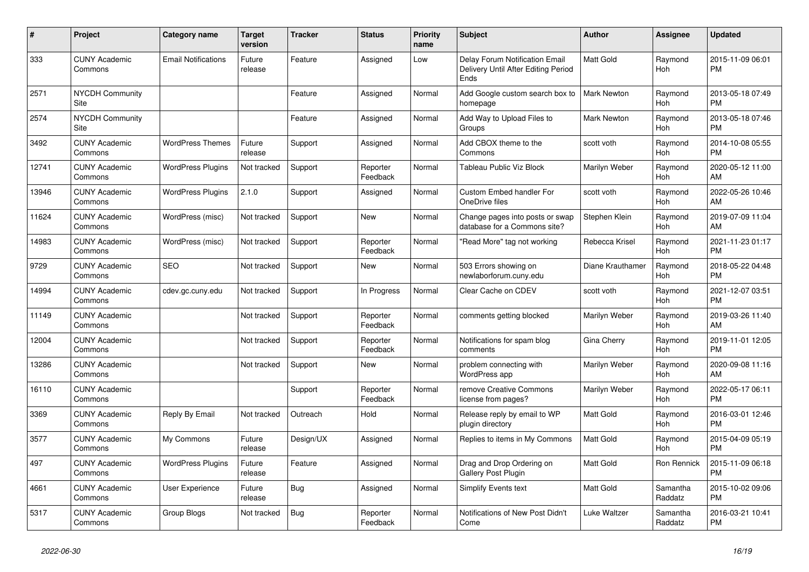| #     | Project                         | <b>Category name</b>       | <b>Target</b><br>version | <b>Tracker</b> | <b>Status</b>        | <b>Priority</b><br>name | <b>Subject</b>                                                                | <b>Author</b>      | <b>Assignee</b>     | <b>Updated</b>                |
|-------|---------------------------------|----------------------------|--------------------------|----------------|----------------------|-------------------------|-------------------------------------------------------------------------------|--------------------|---------------------|-------------------------------|
| 333   | <b>CUNY Academic</b><br>Commons | <b>Email Notifications</b> | Future<br>release        | Feature        | Assigned             | Low                     | Delay Forum Notification Email<br>Delivery Until After Editing Period<br>Ends | <b>Matt Gold</b>   | Raymond<br>Hoh      | 2015-11-09 06:01<br><b>PM</b> |
| 2571  | <b>NYCDH Community</b><br>Site  |                            |                          | Feature        | Assigned             | Normal                  | Add Google custom search box to<br>homepage                                   | <b>Mark Newton</b> | Raymond<br>Hoh      | 2013-05-18 07:49<br><b>PM</b> |
| 2574  | <b>NYCDH Community</b><br>Site  |                            |                          | Feature        | Assigned             | Normal                  | Add Way to Upload Files to<br>Groups                                          | <b>Mark Newton</b> | Raymond<br>Hoh      | 2013-05-18 07:46<br><b>PM</b> |
| 3492  | <b>CUNY Academic</b><br>Commons | <b>WordPress Themes</b>    | Future<br>release        | Support        | Assigned             | Normal                  | Add CBOX theme to the<br>Commons                                              | scott voth         | Raymond<br>Hoh      | 2014-10-08 05:55<br><b>PM</b> |
| 12741 | <b>CUNY Academic</b><br>Commons | <b>WordPress Plugins</b>   | Not tracked              | Support        | Reporter<br>Feedback | Normal                  | <b>Tableau Public Viz Block</b>                                               | Marilyn Weber      | Raymond<br>Hoh      | 2020-05-12 11:00<br>AM        |
| 13946 | <b>CUNY Academic</b><br>Commons | <b>WordPress Plugins</b>   | 2.1.0                    | Support        | Assigned             | Normal                  | <b>Custom Embed handler For</b><br>OneDrive files                             | scott voth         | Raymond<br>Hoh      | 2022-05-26 10:46<br>AM        |
| 11624 | <b>CUNY Academic</b><br>Commons | WordPress (misc)           | Not tracked              | Support        | New                  | Normal                  | Change pages into posts or swap<br>database for a Commons site?               | Stephen Klein      | Raymond<br>Hoh      | 2019-07-09 11:04<br>AM        |
| 14983 | <b>CUNY Academic</b><br>Commons | WordPress (misc)           | Not tracked              | Support        | Reporter<br>Feedback | Normal                  | "Read More" tag not working                                                   | Rebecca Krisel     | Raymond<br>Hoh      | 2021-11-23 01:17<br><b>PM</b> |
| 9729  | <b>CUNY Academic</b><br>Commons | <b>SEO</b>                 | Not tracked              | Support        | <b>New</b>           | Normal                  | 503 Errors showing on<br>newlaborforum.cuny.edu                               | Diane Krauthamer   | Raymond<br>Hoh      | 2018-05-22 04:48<br><b>PM</b> |
| 14994 | <b>CUNY Academic</b><br>Commons | cdev.gc.cuny.edu           | Not tracked              | Support        | In Progress          | Normal                  | Clear Cache on CDEV                                                           | scott voth         | Raymond<br>Hoh      | 2021-12-07 03:51<br><b>PM</b> |
| 11149 | <b>CUNY Academic</b><br>Commons |                            | Not tracked              | Support        | Reporter<br>Feedback | Normal                  | comments getting blocked                                                      | Marilyn Weber      | Raymond<br>Hoh      | 2019-03-26 11:40<br>AM        |
| 12004 | <b>CUNY Academic</b><br>Commons |                            | Not tracked              | Support        | Reporter<br>Feedback | Normal                  | Notifications for spam blog<br>comments                                       | Gina Cherry        | Raymond<br>Hoh      | 2019-11-01 12:05<br><b>PM</b> |
| 13286 | <b>CUNY Academic</b><br>Commons |                            | Not tracked              | Support        | New                  | Normal                  | problem connecting with<br>WordPress app                                      | Marilyn Weber      | Raymond<br>Hoh      | 2020-09-08 11:16<br>AM        |
| 16110 | <b>CUNY Academic</b><br>Commons |                            |                          | Support        | Reporter<br>Feedback | Normal                  | remove Creative Commons<br>license from pages?                                | Marilyn Weber      | Raymond<br>Hoh      | 2022-05-17 06:11<br><b>PM</b> |
| 3369  | <b>CUNY Academic</b><br>Commons | Reply By Email             | Not tracked              | Outreach       | Hold                 | Normal                  | Release reply by email to WP<br>plugin directory                              | <b>Matt Gold</b>   | Raymond<br>Hoh      | 2016-03-01 12:46<br><b>PM</b> |
| 3577  | <b>CUNY Academic</b><br>Commons | My Commons                 | Future<br>release        | Design/UX      | Assigned             | Normal                  | Replies to items in My Commons                                                | <b>Matt Gold</b>   | Raymond<br>Hoh      | 2015-04-09 05:19<br><b>PM</b> |
| 497   | <b>CUNY Academic</b><br>Commons | <b>WordPress Plugins</b>   | Future<br>release        | Feature        | Assigned             | Normal                  | Drag and Drop Ordering on<br>Gallery Post Plugin                              | Matt Gold          | Ron Rennick         | 2015-11-09 06:18<br><b>PM</b> |
| 4661  | <b>CUNY Academic</b><br>Commons | User Experience            | Future<br>release        | Bug            | Assigned             | Normal                  | <b>Simplify Events text</b>                                                   | <b>Matt Gold</b>   | Samantha<br>Raddatz | 2015-10-02 09:06<br><b>PM</b> |
| 5317  | <b>CUNY Academic</b><br>Commons | Group Blogs                | Not tracked              | <b>Bug</b>     | Reporter<br>Feedback | Normal                  | Notifications of New Post Didn't<br>Come                                      | Luke Waltzer       | Samantha<br>Raddatz | 2016-03-21 10:41<br><b>PM</b> |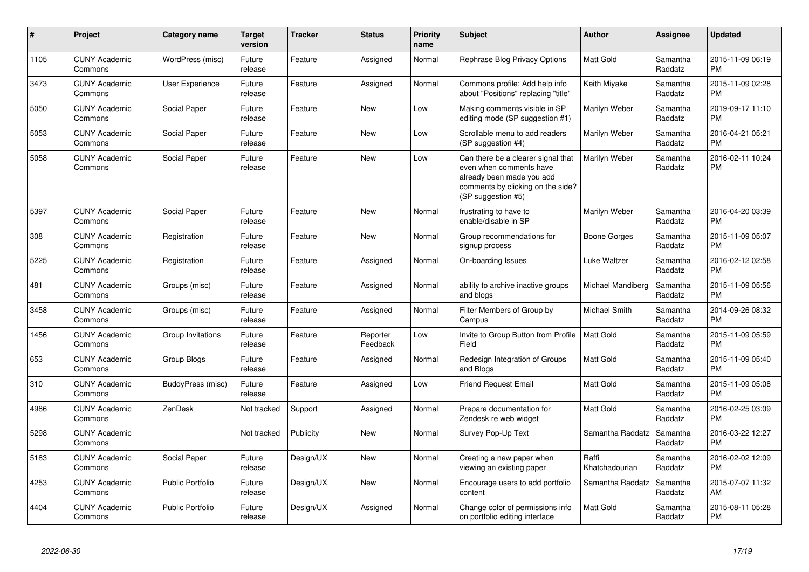| #    | Project                         | Category name           | <b>Target</b><br>version | <b>Tracker</b> | <b>Status</b>        | <b>Priority</b><br>name | <b>Subject</b>                                                                                                                                        | <b>Author</b>           | <b>Assignee</b>     | <b>Updated</b>                |
|------|---------------------------------|-------------------------|--------------------------|----------------|----------------------|-------------------------|-------------------------------------------------------------------------------------------------------------------------------------------------------|-------------------------|---------------------|-------------------------------|
| 1105 | <b>CUNY Academic</b><br>Commons | WordPress (misc)        | Future<br>release        | Feature        | Assigned             | Normal                  | Rephrase Blog Privacy Options                                                                                                                         | <b>Matt Gold</b>        | Samantha<br>Raddatz | 2015-11-09 06:19<br><b>PM</b> |
| 3473 | <b>CUNY Academic</b><br>Commons | User Experience         | Future<br>release        | Feature        | Assigned             | Normal                  | Commons profile: Add help info<br>about "Positions" replacing "title"                                                                                 | Keith Miyake            | Samantha<br>Raddatz | 2015-11-09 02:28<br><b>PM</b> |
| 5050 | <b>CUNY Academic</b><br>Commons | Social Paper            | Future<br>release        | Feature        | <b>New</b>           | Low                     | Making comments visible in SP<br>editing mode (SP suggestion #1)                                                                                      | Marilyn Weber           | Samantha<br>Raddatz | 2019-09-17 11:10<br><b>PM</b> |
| 5053 | <b>CUNY Academic</b><br>Commons | Social Paper            | Future<br>release        | Feature        | <b>New</b>           | Low                     | Scrollable menu to add readers<br>(SP suggestion #4)                                                                                                  | Marilyn Weber           | Samantha<br>Raddatz | 2016-04-21 05:21<br><b>PM</b> |
| 5058 | <b>CUNY Academic</b><br>Commons | Social Paper            | Future<br>release        | Feature        | New                  | Low                     | Can there be a clearer signal that<br>even when comments have<br>already been made you add<br>comments by clicking on the side?<br>(SP suggestion #5) | Marilyn Weber           | Samantha<br>Raddatz | 2016-02-11 10:24<br><b>PM</b> |
| 5397 | <b>CUNY Academic</b><br>Commons | Social Paper            | Future<br>release        | Feature        | New                  | Normal                  | frustrating to have to<br>enable/disable in SP                                                                                                        | Marilyn Weber           | Samantha<br>Raddatz | 2016-04-20 03:39<br><b>PM</b> |
| 308  | <b>CUNY Academic</b><br>Commons | Registration            | Future<br>release        | Feature        | <b>New</b>           | Normal                  | Group recommendations for<br>signup process                                                                                                           | Boone Gorges            | Samantha<br>Raddatz | 2015-11-09 05:07<br><b>PM</b> |
| 5225 | <b>CUNY Academic</b><br>Commons | Registration            | Future<br>release        | Feature        | Assigned             | Normal                  | On-boarding Issues                                                                                                                                    | Luke Waltzer            | Samantha<br>Raddatz | 2016-02-12 02:58<br><b>PM</b> |
| 481  | <b>CUNY Academic</b><br>Commons | Groups (misc)           | Future<br>release        | Feature        | Assigned             | Normal                  | ability to archive inactive groups<br>and blogs                                                                                                       | Michael Mandiberg       | Samantha<br>Raddatz | 2015-11-09 05:56<br><b>PM</b> |
| 3458 | <b>CUNY Academic</b><br>Commons | Groups (misc)           | Future<br>release        | Feature        | Assigned             | Normal                  | Filter Members of Group by<br>Campus                                                                                                                  | Michael Smith           | Samantha<br>Raddatz | 2014-09-26 08:32<br><b>PM</b> |
| 1456 | <b>CUNY Academic</b><br>Commons | Group Invitations       | Future<br>release        | Feature        | Reporter<br>Feedback | Low                     | Invite to Group Button from Profile<br>Field                                                                                                          | <b>Matt Gold</b>        | Samantha<br>Raddatz | 2015-11-09 05:59<br><b>PM</b> |
| 653  | <b>CUNY Academic</b><br>Commons | Group Blogs             | Future<br>release        | Feature        | Assigned             | Normal                  | Redesign Integration of Groups<br>and Blogs                                                                                                           | <b>Matt Gold</b>        | Samantha<br>Raddatz | 2015-11-09 05:40<br><b>PM</b> |
| 310  | <b>CUNY Academic</b><br>Commons | BuddyPress (misc)       | Future<br>release        | Feature        | Assigned             | Low                     | <b>Friend Request Email</b>                                                                                                                           | <b>Matt Gold</b>        | Samantha<br>Raddatz | 2015-11-09 05:08<br><b>PM</b> |
| 4986 | <b>CUNY Academic</b><br>Commons | ZenDesk                 | Not tracked              | Support        | Assigned             | Normal                  | Prepare documentation for<br>Zendesk re web widget                                                                                                    | <b>Matt Gold</b>        | Samantha<br>Raddatz | 2016-02-25 03:09<br><b>PM</b> |
| 5298 | <b>CUNY Academic</b><br>Commons |                         | Not tracked              | Publicity      | New                  | Normal                  | Survey Pop-Up Text                                                                                                                                    | Samantha Raddatz        | Samantha<br>Raddatz | 2016-03-22 12:27<br><b>PM</b> |
| 5183 | <b>CUNY Academic</b><br>Commons | Social Paper            | Future<br>release        | Design/UX      | <b>New</b>           | Normal                  | Creating a new paper when<br>viewing an existing paper                                                                                                | Raffi<br>Khatchadourian | Samantha<br>Raddatz | 2016-02-02 12:09<br><b>PM</b> |
| 4253 | <b>CUNY Academic</b><br>Commons | <b>Public Portfolio</b> | Future<br>release        | Design/UX      | <b>New</b>           | Normal                  | Encourage users to add portfolio<br>content                                                                                                           | Samantha Raddatz        | Samantha<br>Raddatz | 2015-07-07 11:32<br>AM        |
| 4404 | <b>CUNY Academic</b><br>Commons | <b>Public Portfolio</b> | Future<br>release        | Design/UX      | Assigned             | Normal                  | Change color of permissions info<br>on portfolio editing interface                                                                                    | <b>Matt Gold</b>        | Samantha<br>Raddatz | 2015-08-11 05:28<br><b>PM</b> |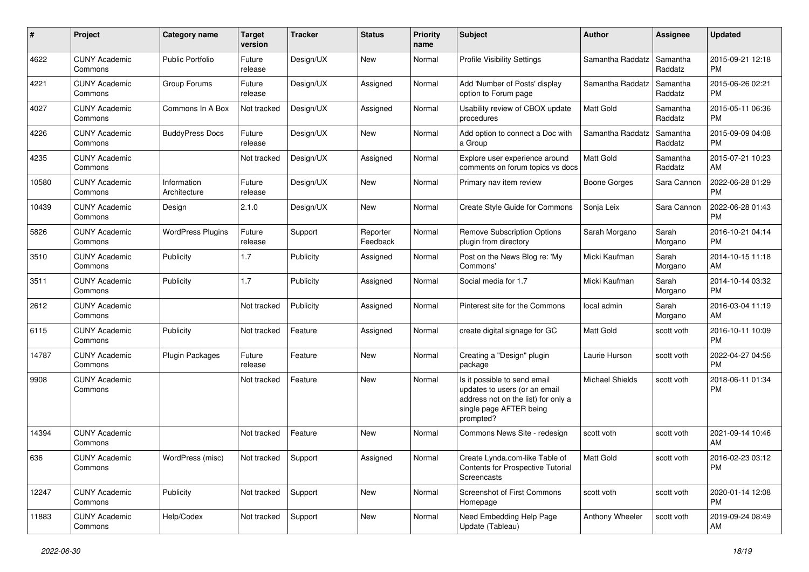| #     | Project                         | Category name               | <b>Target</b><br>version | <b>Tracker</b> | <b>Status</b>        | <b>Priority</b><br>name | Subject                                                                                                                                      | <b>Author</b>    | <b>Assignee</b>     | <b>Updated</b>                |
|-------|---------------------------------|-----------------------------|--------------------------|----------------|----------------------|-------------------------|----------------------------------------------------------------------------------------------------------------------------------------------|------------------|---------------------|-------------------------------|
| 4622  | <b>CUNY Academic</b><br>Commons | Public Portfolio            | Future<br>release        | Design/UX      | <b>New</b>           | Normal                  | <b>Profile Visibility Settings</b>                                                                                                           | Samantha Raddatz | Samantha<br>Raddatz | 2015-09-21 12:18<br><b>PM</b> |
| 4221  | <b>CUNY Academic</b><br>Commons | Group Forums                | Future<br>release        | Design/UX      | Assigned             | Normal                  | Add 'Number of Posts' display<br>option to Forum page                                                                                        | Samantha Raddatz | Samantha<br>Raddatz | 2015-06-26 02:21<br><b>PM</b> |
| 4027  | <b>CUNY Academic</b><br>Commons | Commons In A Box            | Not tracked              | Design/UX      | Assigned             | Normal                  | Usability review of CBOX update<br>procedures                                                                                                | Matt Gold        | Samantha<br>Raddatz | 2015-05-11 06:36<br><b>PM</b> |
| 4226  | <b>CUNY Academic</b><br>Commons | <b>BuddyPress Docs</b>      | Future<br>release        | Design/UX      | New                  | Normal                  | Add option to connect a Doc with<br>a Group                                                                                                  | Samantha Raddatz | Samantha<br>Raddatz | 2015-09-09 04:08<br><b>PM</b> |
| 4235  | <b>CUNY Academic</b><br>Commons |                             | Not tracked              | Design/UX      | Assigned             | Normal                  | Explore user experience around<br>comments on forum topics vs docs                                                                           | <b>Matt Gold</b> | Samantha<br>Raddatz | 2015-07-21 10:23<br>AM        |
| 10580 | <b>CUNY Academic</b><br>Commons | Information<br>Architecture | Future<br>release        | Design/UX      | New                  | Normal                  | Primary nav item review                                                                                                                      | Boone Gorges     | Sara Cannon         | 2022-06-28 01:29<br><b>PM</b> |
| 10439 | <b>CUNY Academic</b><br>Commons | Design                      | 2.1.0                    | Design/UX      | New                  | Normal                  | Create Style Guide for Commons                                                                                                               | Sonja Leix       | Sara Cannon         | 2022-06-28 01:43<br><b>PM</b> |
| 5826  | <b>CUNY Academic</b><br>Commons | <b>WordPress Plugins</b>    | Future<br>release        | Support        | Reporter<br>Feedback | Normal                  | <b>Remove Subscription Options</b><br>plugin from directory                                                                                  | Sarah Morgano    | Sarah<br>Morgano    | 2016-10-21 04:14<br>PM.       |
| 3510  | <b>CUNY Academic</b><br>Commons | Publicity                   | 1.7                      | Publicity      | Assigned             | Normal                  | Post on the News Blog re: 'My<br>Commons'                                                                                                    | Micki Kaufman    | Sarah<br>Morgano    | 2014-10-15 11:18<br>AM.       |
| 3511  | <b>CUNY Academic</b><br>Commons | Publicity                   | 1.7                      | Publicity      | Assigned             | Normal                  | Social media for 1.7                                                                                                                         | Micki Kaufman    | Sarah<br>Morgano    | 2014-10-14 03:32<br><b>PM</b> |
| 2612  | <b>CUNY Academic</b><br>Commons |                             | Not tracked              | Publicity      | Assigned             | Normal                  | Pinterest site for the Commons                                                                                                               | local admin      | Sarah<br>Morgano    | 2016-03-04 11:19<br>AM        |
| 6115  | <b>CUNY Academic</b><br>Commons | Publicity                   | Not tracked              | Feature        | Assigned             | Normal                  | create digital signage for GC                                                                                                                | Matt Gold        | scott voth          | 2016-10-11 10:09<br><b>PM</b> |
| 14787 | <b>CUNY Academic</b><br>Commons | Plugin Packages             | Future<br>release        | Feature        | New                  | Normal                  | Creating a "Design" plugin<br>package                                                                                                        | Laurie Hurson    | scott voth          | 2022-04-27 04:56<br><b>PM</b> |
| 9908  | <b>CUNY Academic</b><br>Commons |                             | Not tracked              | Feature        | New                  | Normal                  | Is it possible to send email<br>updates to users (or an email<br>address not on the list) for only a<br>single page AFTER being<br>prompted? | Michael Shields  | scott voth          | 2018-06-11 01:34<br>PM        |
| 14394 | <b>CUNY Academic</b><br>Commons |                             | Not tracked              | Feature        | New                  | Normal                  | Commons News Site - redesign                                                                                                                 | scott voth       | scott voth          | 2021-09-14 10:46<br>AM        |
| 636   | <b>CUNY Academic</b><br>Commons | WordPress (misc)            | Not tracked Support      |                | Assigned             | Normal                  | Create Lynda.com-like Table of<br>Contents for Prospective Tutorial<br>Screencasts                                                           | Matt Gold        | scott voth          | 2016-02-23 03:12<br>PM.       |
| 12247 | <b>CUNY Academic</b><br>Commons | Publicity                   | Not tracked              | Support        | New                  | Normal                  | Screenshot of First Commons<br>Homepage                                                                                                      | scott voth       | scott voth          | 2020-01-14 12:08<br><b>PM</b> |
| 11883 | <b>CUNY Academic</b><br>Commons | Help/Codex                  | Not tracked              | Support        | New                  | Normal                  | Need Embedding Help Page<br>Update (Tableau)                                                                                                 | Anthony Wheeler  | scott voth          | 2019-09-24 08:49<br>AM        |